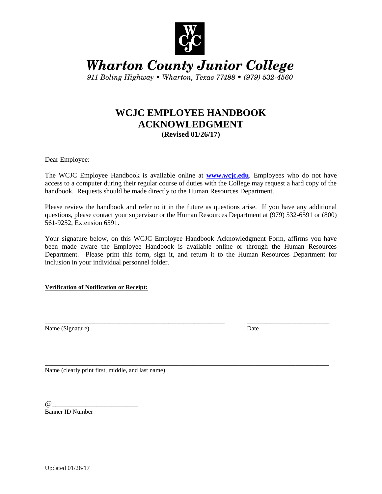

**Wharton County Junior College** 

911 Boling Highway • Wharton, Texas 77488 • (979) 532-4560

## **WCJC EMPLOYEE HANDBOOK ACKNOWLEDGMENT (Revised 01/26/17)**

Dear Employee:

The WCJC Employee Handbook is available online at **[www.wcjc.edu](http://www.wcjc.edu/)**. Employees who do not have access to a computer during their regular course of duties with the College may request a hard copy of the handbook. Requests should be made directly to the Human Resources Department.

Please review the handbook and refer to it in the future as questions arise. If you have any additional questions, please contact your supervisor or the Human Resources Department at (979) 532-6591 or (800) 561-9252, Extension 6591.

Your signature below, on this WCJC Employee Handbook Acknowledgment Form, affirms you have been made aware the Employee Handbook is available online or through the Human Resources Department. Please print this form, sign it, and return it to the Human Resources Department for inclusion in your individual personnel folder.

\_\_\_\_\_\_\_\_\_\_\_\_\_\_\_\_\_\_\_\_\_\_\_\_\_\_\_\_\_\_\_\_\_\_\_\_\_\_\_\_\_\_\_\_\_\_\_\_ \_\_\_\_\_\_\_\_\_\_\_\_\_\_\_\_\_\_\_\_\_\_

\_\_\_\_\_\_\_\_\_\_\_\_\_\_\_\_\_\_\_\_\_\_\_\_\_\_\_\_\_\_\_\_\_\_\_\_\_\_\_\_\_\_\_\_\_\_\_\_\_\_\_\_\_\_\_\_\_\_\_\_\_\_\_\_\_\_\_\_\_\_\_\_\_\_\_\_

**Verification of Notification or Receipt:**

Name (Signature) Date

Name (clearly print first, middle, and last name)

 $\omega$ 

Banner ID Number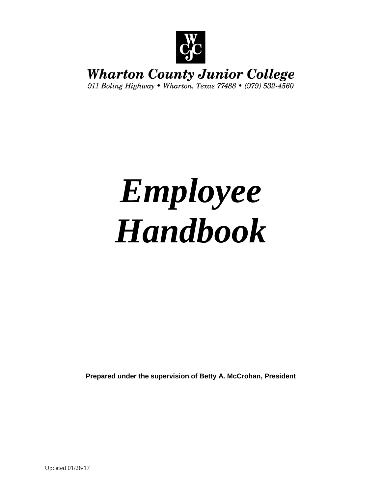

## **Wharton County Junior College**

911 Boling Highway • Wharton, Texas 77488 • (979) 532-4560

# *Employee Handbook*

**Prepared under the supervision of Betty A. McCrohan, President**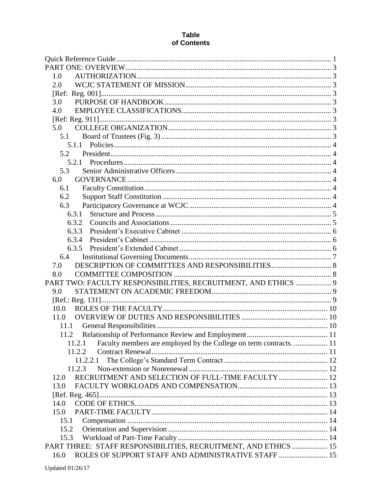| 1.0                                                                          |  |
|------------------------------------------------------------------------------|--|
| 2.0                                                                          |  |
|                                                                              |  |
| 3.0                                                                          |  |
| 4.0                                                                          |  |
|                                                                              |  |
| 5.0                                                                          |  |
| 5.1                                                                          |  |
|                                                                              |  |
| 5.2                                                                          |  |
|                                                                              |  |
| 5.3                                                                          |  |
| 6.0                                                                          |  |
| 6.1                                                                          |  |
| 6.2                                                                          |  |
| 6.3                                                                          |  |
| 6.3.1                                                                        |  |
| 6.3.2                                                                        |  |
| 6.3.3                                                                        |  |
| 6.3.4                                                                        |  |
|                                                                              |  |
| 6.4                                                                          |  |
| 7.0                                                                          |  |
| 8.0                                                                          |  |
| PART TWO: FACULTY RESPONSIBILITIES, RECRUITMENT, AND ETHICS  9               |  |
| 9.0                                                                          |  |
| 10.0                                                                         |  |
| 11.0                                                                         |  |
| 11.1                                                                         |  |
|                                                                              |  |
| Faculty members are employed by the College on term contracts.  11<br>11.2.1 |  |
| 11.2.2                                                                       |  |
| 11.2.2.1                                                                     |  |
| 11.2.3                                                                       |  |
| RECRUITMENT AND SELECTION OF FULL-TIME FACULTY  12<br>12.0                   |  |
| 13.0                                                                         |  |
|                                                                              |  |
| 14.0                                                                         |  |
| 15.0                                                                         |  |
| 15.1                                                                         |  |
| 15.2                                                                         |  |
| 15.3                                                                         |  |
| PART THREE: STAFF RESPONSIBILITIES, RECRUITMENT, AND ETHICS  15              |  |
| ROLES OF SUPPORT STAFF AND ADMINISTRATIVE STAFF  15<br>16.0                  |  |
|                                                                              |  |

#### **Table** of Contents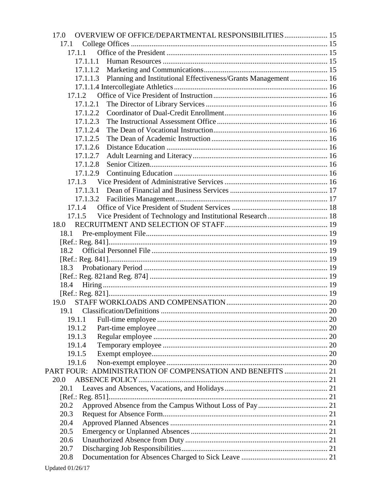| 17.1<br>17.1.1<br>17.1.1.1<br>17.1.1.2<br>17.1.1.3<br>17.1.2<br>17.1.2.1<br>17.1.2.2<br>17.1.2.3<br>17.1.2.4<br>17.1.2.5<br>17.1.2.6<br>17.1.2.7<br>17.1.2.8<br>17.1.2.9<br>17.1.3<br>17.1.3.1<br>17.1.4<br>Vice President of Technology and Institutional Research  18<br>17.1.5<br>18.0<br>18.1<br>18.2<br>18.3<br>18.4<br>19.0<br>19.1.1<br>19.1.2<br>19.1.3<br>19.1.4<br>19.1.5<br>19.1.6<br>20.0<br>20.1<br>20.2<br>20.3<br>20.4 | PART FOUR: ADMINISTRATION OF COMPENSATION AND BENEFITS  21<br>20.5<br>20.6<br>20.7<br>20.8 | OVERVIEW OF OFFICE/DEPARTMENTAL RESPONSIBILITIES 15<br>17.0 |  |
|---------------------------------------------------------------------------------------------------------------------------------------------------------------------------------------------------------------------------------------------------------------------------------------------------------------------------------------------------------------------------------------------------------------------------------------|--------------------------------------------------------------------------------------------|-------------------------------------------------------------|--|
| Planning and Institutional Effectiveness/Grants Management  16                                                                                                                                                                                                                                                                                                                                                                        |                                                                                            |                                                             |  |
|                                                                                                                                                                                                                                                                                                                                                                                                                                       |                                                                                            |                                                             |  |
|                                                                                                                                                                                                                                                                                                                                                                                                                                       |                                                                                            |                                                             |  |
|                                                                                                                                                                                                                                                                                                                                                                                                                                       |                                                                                            |                                                             |  |
|                                                                                                                                                                                                                                                                                                                                                                                                                                       |                                                                                            |                                                             |  |
|                                                                                                                                                                                                                                                                                                                                                                                                                                       |                                                                                            |                                                             |  |
|                                                                                                                                                                                                                                                                                                                                                                                                                                       |                                                                                            |                                                             |  |
|                                                                                                                                                                                                                                                                                                                                                                                                                                       |                                                                                            |                                                             |  |
|                                                                                                                                                                                                                                                                                                                                                                                                                                       |                                                                                            |                                                             |  |
|                                                                                                                                                                                                                                                                                                                                                                                                                                       |                                                                                            |                                                             |  |
|                                                                                                                                                                                                                                                                                                                                                                                                                                       |                                                                                            |                                                             |  |
|                                                                                                                                                                                                                                                                                                                                                                                                                                       |                                                                                            |                                                             |  |
|                                                                                                                                                                                                                                                                                                                                                                                                                                       |                                                                                            |                                                             |  |
|                                                                                                                                                                                                                                                                                                                                                                                                                                       |                                                                                            |                                                             |  |
|                                                                                                                                                                                                                                                                                                                                                                                                                                       |                                                                                            |                                                             |  |
|                                                                                                                                                                                                                                                                                                                                                                                                                                       |                                                                                            |                                                             |  |
|                                                                                                                                                                                                                                                                                                                                                                                                                                       |                                                                                            |                                                             |  |
|                                                                                                                                                                                                                                                                                                                                                                                                                                       |                                                                                            |                                                             |  |
|                                                                                                                                                                                                                                                                                                                                                                                                                                       |                                                                                            |                                                             |  |
|                                                                                                                                                                                                                                                                                                                                                                                                                                       |                                                                                            |                                                             |  |
|                                                                                                                                                                                                                                                                                                                                                                                                                                       |                                                                                            |                                                             |  |
|                                                                                                                                                                                                                                                                                                                                                                                                                                       |                                                                                            |                                                             |  |
|                                                                                                                                                                                                                                                                                                                                                                                                                                       |                                                                                            |                                                             |  |
|                                                                                                                                                                                                                                                                                                                                                                                                                                       |                                                                                            |                                                             |  |
|                                                                                                                                                                                                                                                                                                                                                                                                                                       |                                                                                            |                                                             |  |
|                                                                                                                                                                                                                                                                                                                                                                                                                                       |                                                                                            |                                                             |  |
|                                                                                                                                                                                                                                                                                                                                                                                                                                       |                                                                                            |                                                             |  |
|                                                                                                                                                                                                                                                                                                                                                                                                                                       |                                                                                            |                                                             |  |
|                                                                                                                                                                                                                                                                                                                                                                                                                                       |                                                                                            |                                                             |  |
|                                                                                                                                                                                                                                                                                                                                                                                                                                       |                                                                                            |                                                             |  |
|                                                                                                                                                                                                                                                                                                                                                                                                                                       |                                                                                            |                                                             |  |
|                                                                                                                                                                                                                                                                                                                                                                                                                                       |                                                                                            |                                                             |  |
|                                                                                                                                                                                                                                                                                                                                                                                                                                       |                                                                                            |                                                             |  |
|                                                                                                                                                                                                                                                                                                                                                                                                                                       |                                                                                            |                                                             |  |
|                                                                                                                                                                                                                                                                                                                                                                                                                                       |                                                                                            |                                                             |  |
|                                                                                                                                                                                                                                                                                                                                                                                                                                       |                                                                                            |                                                             |  |
|                                                                                                                                                                                                                                                                                                                                                                                                                                       |                                                                                            |                                                             |  |
|                                                                                                                                                                                                                                                                                                                                                                                                                                       |                                                                                            |                                                             |  |
|                                                                                                                                                                                                                                                                                                                                                                                                                                       |                                                                                            |                                                             |  |
|                                                                                                                                                                                                                                                                                                                                                                                                                                       |                                                                                            |                                                             |  |
|                                                                                                                                                                                                                                                                                                                                                                                                                                       |                                                                                            |                                                             |  |
|                                                                                                                                                                                                                                                                                                                                                                                                                                       |                                                                                            |                                                             |  |
|                                                                                                                                                                                                                                                                                                                                                                                                                                       |                                                                                            |                                                             |  |
|                                                                                                                                                                                                                                                                                                                                                                                                                                       |                                                                                            |                                                             |  |
|                                                                                                                                                                                                                                                                                                                                                                                                                                       |                                                                                            |                                                             |  |
|                                                                                                                                                                                                                                                                                                                                                                                                                                       |                                                                                            |                                                             |  |
|                                                                                                                                                                                                                                                                                                                                                                                                                                       |                                                                                            |                                                             |  |
|                                                                                                                                                                                                                                                                                                                                                                                                                                       |                                                                                            |                                                             |  |
|                                                                                                                                                                                                                                                                                                                                                                                                                                       |                                                                                            |                                                             |  |
|                                                                                                                                                                                                                                                                                                                                                                                                                                       |                                                                                            |                                                             |  |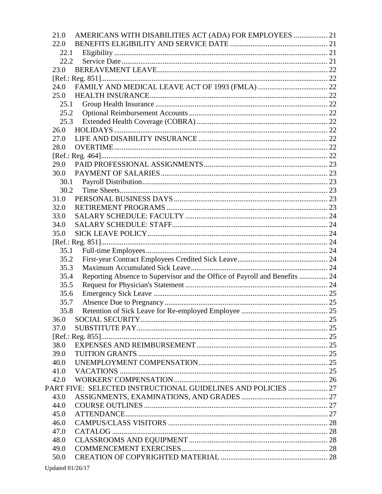| 22.0<br>22.1<br>22.2<br>23.0<br>24.0<br>25.0<br>25.1<br>25.2<br>25.3<br>26.0<br>27.0<br>28.0<br>29.0<br>30.0<br>30.1<br>30.2<br>31.0<br>32.0<br>33.0<br>34.0<br>35.0<br>35.1<br>35.2<br>35.3<br>Reporting Absence to Supervisor and the Office of Payroll and Benefits  24<br>35.4<br>35.5<br>35.6<br>35.7<br>35.8<br>36.0<br>37.0<br>38.0<br>39.0<br>40.0<br>41.0<br>42.0<br>PART FIVE: SELECTED INSTRUCTIONAL GUIDELINES AND POLICIES  27<br>43.0<br>44.0<br>45.0<br>46.0<br>47.0<br>48.0<br>49.0<br>50.0 | 21.0 | AMERICANS WITH DISABILITIES ACT (ADA) FOR EMPLOYEES  21 |  |
|-------------------------------------------------------------------------------------------------------------------------------------------------------------------------------------------------------------------------------------------------------------------------------------------------------------------------------------------------------------------------------------------------------------------------------------------------------------------------------------------------------------|------|---------------------------------------------------------|--|
|                                                                                                                                                                                                                                                                                                                                                                                                                                                                                                             |      |                                                         |  |
|                                                                                                                                                                                                                                                                                                                                                                                                                                                                                                             |      |                                                         |  |
|                                                                                                                                                                                                                                                                                                                                                                                                                                                                                                             |      |                                                         |  |
|                                                                                                                                                                                                                                                                                                                                                                                                                                                                                                             |      |                                                         |  |
|                                                                                                                                                                                                                                                                                                                                                                                                                                                                                                             |      |                                                         |  |
|                                                                                                                                                                                                                                                                                                                                                                                                                                                                                                             |      |                                                         |  |
|                                                                                                                                                                                                                                                                                                                                                                                                                                                                                                             |      |                                                         |  |
|                                                                                                                                                                                                                                                                                                                                                                                                                                                                                                             |      |                                                         |  |
|                                                                                                                                                                                                                                                                                                                                                                                                                                                                                                             |      |                                                         |  |
|                                                                                                                                                                                                                                                                                                                                                                                                                                                                                                             |      |                                                         |  |
|                                                                                                                                                                                                                                                                                                                                                                                                                                                                                                             |      |                                                         |  |
|                                                                                                                                                                                                                                                                                                                                                                                                                                                                                                             |      |                                                         |  |
|                                                                                                                                                                                                                                                                                                                                                                                                                                                                                                             |      |                                                         |  |
|                                                                                                                                                                                                                                                                                                                                                                                                                                                                                                             |      |                                                         |  |
|                                                                                                                                                                                                                                                                                                                                                                                                                                                                                                             |      |                                                         |  |
|                                                                                                                                                                                                                                                                                                                                                                                                                                                                                                             |      |                                                         |  |
|                                                                                                                                                                                                                                                                                                                                                                                                                                                                                                             |      |                                                         |  |
|                                                                                                                                                                                                                                                                                                                                                                                                                                                                                                             |      |                                                         |  |
|                                                                                                                                                                                                                                                                                                                                                                                                                                                                                                             |      |                                                         |  |
|                                                                                                                                                                                                                                                                                                                                                                                                                                                                                                             |      |                                                         |  |
|                                                                                                                                                                                                                                                                                                                                                                                                                                                                                                             |      |                                                         |  |
|                                                                                                                                                                                                                                                                                                                                                                                                                                                                                                             |      |                                                         |  |
|                                                                                                                                                                                                                                                                                                                                                                                                                                                                                                             |      |                                                         |  |
|                                                                                                                                                                                                                                                                                                                                                                                                                                                                                                             |      |                                                         |  |
|                                                                                                                                                                                                                                                                                                                                                                                                                                                                                                             |      |                                                         |  |
|                                                                                                                                                                                                                                                                                                                                                                                                                                                                                                             |      |                                                         |  |
|                                                                                                                                                                                                                                                                                                                                                                                                                                                                                                             |      |                                                         |  |
|                                                                                                                                                                                                                                                                                                                                                                                                                                                                                                             |      |                                                         |  |
|                                                                                                                                                                                                                                                                                                                                                                                                                                                                                                             |      |                                                         |  |
|                                                                                                                                                                                                                                                                                                                                                                                                                                                                                                             |      |                                                         |  |
|                                                                                                                                                                                                                                                                                                                                                                                                                                                                                                             |      |                                                         |  |
|                                                                                                                                                                                                                                                                                                                                                                                                                                                                                                             |      |                                                         |  |
|                                                                                                                                                                                                                                                                                                                                                                                                                                                                                                             |      |                                                         |  |
|                                                                                                                                                                                                                                                                                                                                                                                                                                                                                                             |      |                                                         |  |
|                                                                                                                                                                                                                                                                                                                                                                                                                                                                                                             |      |                                                         |  |
|                                                                                                                                                                                                                                                                                                                                                                                                                                                                                                             |      |                                                         |  |
|                                                                                                                                                                                                                                                                                                                                                                                                                                                                                                             |      |                                                         |  |
|                                                                                                                                                                                                                                                                                                                                                                                                                                                                                                             |      |                                                         |  |
|                                                                                                                                                                                                                                                                                                                                                                                                                                                                                                             |      |                                                         |  |
|                                                                                                                                                                                                                                                                                                                                                                                                                                                                                                             |      |                                                         |  |
|                                                                                                                                                                                                                                                                                                                                                                                                                                                                                                             |      |                                                         |  |
|                                                                                                                                                                                                                                                                                                                                                                                                                                                                                                             |      |                                                         |  |
|                                                                                                                                                                                                                                                                                                                                                                                                                                                                                                             |      |                                                         |  |
|                                                                                                                                                                                                                                                                                                                                                                                                                                                                                                             |      |                                                         |  |
|                                                                                                                                                                                                                                                                                                                                                                                                                                                                                                             |      |                                                         |  |
|                                                                                                                                                                                                                                                                                                                                                                                                                                                                                                             |      |                                                         |  |
|                                                                                                                                                                                                                                                                                                                                                                                                                                                                                                             |      |                                                         |  |
|                                                                                                                                                                                                                                                                                                                                                                                                                                                                                                             |      |                                                         |  |
|                                                                                                                                                                                                                                                                                                                                                                                                                                                                                                             |      |                                                         |  |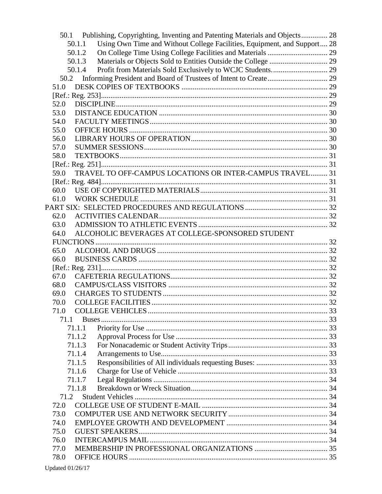| 50.1 | Publishing, Copyrighting, Inventing and Patenting Materials and Objects 28         |  |
|------|------------------------------------------------------------------------------------|--|
|      | Using Own Time and Without College Facilities, Equipment, and Support 28<br>50.1.1 |  |
|      | 50.1.2                                                                             |  |
|      | 50.1.3                                                                             |  |
|      | 50.1.4                                                                             |  |
| 50.2 |                                                                                    |  |
| 51.0 |                                                                                    |  |
|      |                                                                                    |  |
| 52.0 |                                                                                    |  |
| 53.0 |                                                                                    |  |
| 54.0 |                                                                                    |  |
| 55.0 |                                                                                    |  |
| 56.0 |                                                                                    |  |
| 57.0 |                                                                                    |  |
| 58.0 |                                                                                    |  |
|      |                                                                                    |  |
| 59.0 | TRAVEL TO OFF-CAMPUS LOCATIONS OR INTER-CAMPUS TRAVEL 31                           |  |
|      |                                                                                    |  |
| 60.0 |                                                                                    |  |
| 61.0 |                                                                                    |  |
|      |                                                                                    |  |
| 62.0 |                                                                                    |  |
| 63.0 |                                                                                    |  |
| 64.0 | ALCOHOLIC BEVERAGES AT COLLEGE-SPONSORED STUDENT                                   |  |
|      |                                                                                    |  |
| 65.0 |                                                                                    |  |
| 66.0 |                                                                                    |  |
|      |                                                                                    |  |
| 67.0 |                                                                                    |  |
| 68.0 |                                                                                    |  |
| 69.0 |                                                                                    |  |
| 70.0 |                                                                                    |  |
| 71.0 |                                                                                    |  |
| 71.1 |                                                                                    |  |
|      | 71.1.1                                                                             |  |
|      | 71.1.2                                                                             |  |
|      | 71.1.3                                                                             |  |
|      | 71.1.4                                                                             |  |
|      | 71.1.5                                                                             |  |
|      | 71.1.6                                                                             |  |
|      | 71.1.7                                                                             |  |
|      | 71.1.8                                                                             |  |
| 71.2 |                                                                                    |  |
| 72.0 |                                                                                    |  |
| 73.0 |                                                                                    |  |
| 74.0 |                                                                                    |  |
| 75.0 |                                                                                    |  |
| 76.0 |                                                                                    |  |
| 77.0 |                                                                                    |  |
| 78.0 |                                                                                    |  |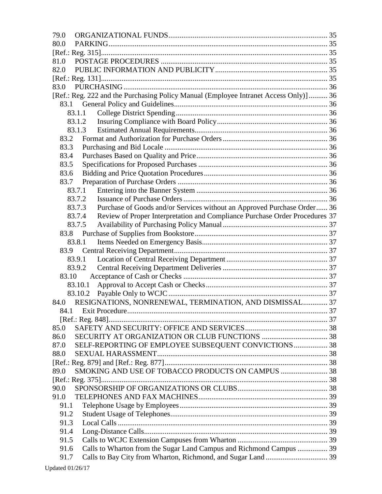| 79.0                                                                                  |  |
|---------------------------------------------------------------------------------------|--|
| 80.0                                                                                  |  |
|                                                                                       |  |
| 81.0                                                                                  |  |
| 82.0                                                                                  |  |
|                                                                                       |  |
| 83.0                                                                                  |  |
| [Ref.: Reg. 222 and the Purchasing Policy Manual (Employee Intranet Access Only)]  36 |  |
|                                                                                       |  |
| 83.1.1                                                                                |  |
| 83.1.2                                                                                |  |
| 83.1.3                                                                                |  |
| 83.2                                                                                  |  |
| 83.3                                                                                  |  |
| 83.4                                                                                  |  |
| 83.5                                                                                  |  |
| 83.6                                                                                  |  |
| 83.7                                                                                  |  |
| 83.7.1                                                                                |  |
| 83.7.2                                                                                |  |
| Purchase of Goods and/or Services without an Approved Purchase Order 36<br>83.7.3     |  |
| Review of Proper Interpretation and Compliance Purchase Order Procedures 37<br>83.7.4 |  |
| 83.7.5                                                                                |  |
|                                                                                       |  |
| 83.8.1                                                                                |  |
|                                                                                       |  |
| 83.9.1                                                                                |  |
| 83.9.2                                                                                |  |
| 83.10                                                                                 |  |
| 83.10.1                                                                               |  |
|                                                                                       |  |
| RESIGNATIONS, NONRENEWAL, TERMINATION, AND DISMISSAL 37<br>84.0                       |  |
|                                                                                       |  |
|                                                                                       |  |
| 85.0                                                                                  |  |
| 86.0                                                                                  |  |
| SELF-REPORTING OF EMPLOYEE SUBSEQUENT CONVICTIONS 38<br>87.0                          |  |
| 88.0                                                                                  |  |
|                                                                                       |  |
| SMOKING AND USE OF TOBACCO PRODUCTS ON CAMPUS  38<br>89.0                             |  |
|                                                                                       |  |
| 90.0                                                                                  |  |
| 91.0                                                                                  |  |
| 91.1                                                                                  |  |
| 91.2                                                                                  |  |
| 91.3                                                                                  |  |
| 91.4                                                                                  |  |
| 91.5                                                                                  |  |
| Calls to Wharton from the Sugar Land Campus and Richmond Campus  39<br>91.6           |  |
| 91.7                                                                                  |  |
|                                                                                       |  |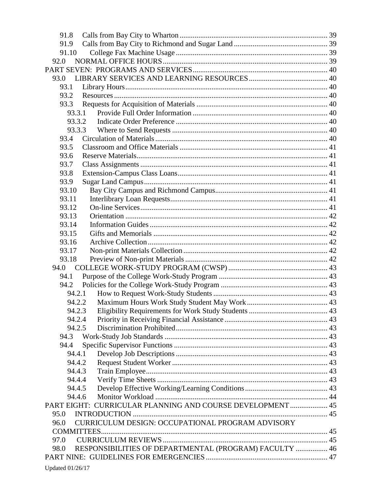| 91.8                                                           |  |
|----------------------------------------------------------------|--|
| 91.9                                                           |  |
| 91.10                                                          |  |
| 92.0                                                           |  |
|                                                                |  |
| 93.0                                                           |  |
| 93.1                                                           |  |
| 93.2                                                           |  |
| 93.3                                                           |  |
| 93.3.1                                                         |  |
| 93.3.2                                                         |  |
| 93.3.3                                                         |  |
| 93.4                                                           |  |
| 93.5                                                           |  |
| 93.6                                                           |  |
| 93.7                                                           |  |
| 93.8                                                           |  |
| 93.9                                                           |  |
| 93.10<br>93.11                                                 |  |
| 93.12                                                          |  |
| 93.13                                                          |  |
| 93.14                                                          |  |
| 93.15                                                          |  |
| 93.16                                                          |  |
| 93.17                                                          |  |
| 93.18                                                          |  |
| 94.0                                                           |  |
| 94.1                                                           |  |
| 94.2                                                           |  |
| 94.2.1                                                         |  |
| 94.2.2                                                         |  |
| 94.2.3                                                         |  |
| 94.2.4                                                         |  |
| 94.2.5                                                         |  |
| 94.3                                                           |  |
| 94.4                                                           |  |
| 94.4.1                                                         |  |
| 94.4.2                                                         |  |
| 94.4.3                                                         |  |
| 94.4.4                                                         |  |
| 94.4.5                                                         |  |
| 94.4.6                                                         |  |
| PART EIGHT: CURRICULAR PLANNING AND COURSE DEVELOPMENT  45     |  |
| 95.0                                                           |  |
| CURRICULUM DESIGN: OCCUPATIONAL PROGRAM ADVISORY<br>96.0       |  |
|                                                                |  |
| 97.0                                                           |  |
| RESPONSIBILITIES OF DEPARTMENTAL (PROGRAM) FACULTY  46<br>98.0 |  |
|                                                                |  |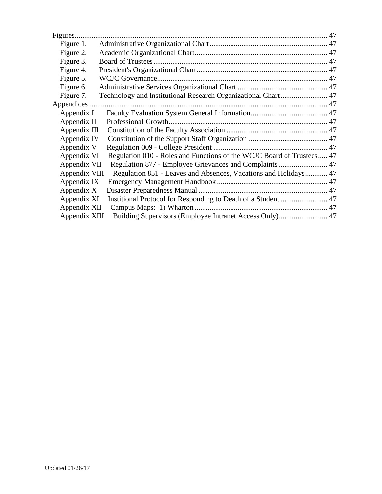| Figure 1.     |                                                                       |  |
|---------------|-----------------------------------------------------------------------|--|
| Figure 2.     |                                                                       |  |
| Figure 3.     |                                                                       |  |
| Figure 4.     |                                                                       |  |
| Figure 5.     |                                                                       |  |
| Figure 6.     |                                                                       |  |
| Figure 7.     | Technology and Institutional Research Organizational Chart 47         |  |
|               |                                                                       |  |
| Appendix I    |                                                                       |  |
| Appendix II   |                                                                       |  |
| Appendix III  |                                                                       |  |
| Appendix IV   |                                                                       |  |
| Appendix V    |                                                                       |  |
| Appendix VI   | Regulation 010 - Roles and Functions of the WCJC Board of Trustees 47 |  |
| Appendix VII  |                                                                       |  |
| Appendix VIII | Regulation 851 - Leaves and Absences, Vacations and Holidays 47       |  |
| Appendix IX   |                                                                       |  |
| Appendix X    |                                                                       |  |
| Appendix XI   | Institional Protocol for Responding to Death of a Student  47         |  |
| Appendix XII  |                                                                       |  |
| Appendix XIII |                                                                       |  |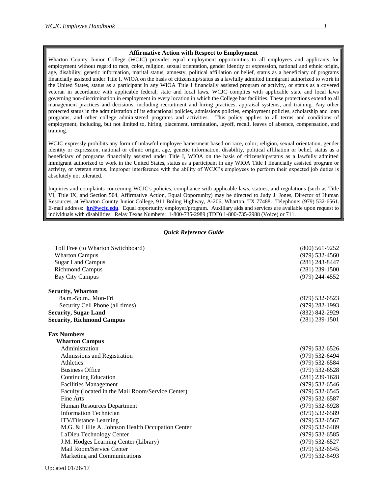#### **Affirmative Action with Respect to Employment**

Wharton County Junior College (WCJC) provides equal employment opportunities to all employees and applicants for employment without regard to race, color, religion, sexual orientation, gender identity or expression, national and ethnic origin, age, disability, genetic information, marital status, amnesty, political affiliation or belief, status as a beneficiary of programs financially assisted under Title I, WIOA on the basis of citizenship/status as a lawfully admitted immigrant authorized to work in the United States, status as a participant in any WIOA Title I financially assisted program or activity, or status as a covered veteran in accordance with applicable federal, state and local laws. WCJC complies with applicable state and local laws governing non-discrimination in employment in every location in which the College has facilities. These protections extend to all management practices and decisions, including recruitment and hiring practices, appraisal systems, and training. Any other protected status in the administration of its educational policies, admissions policies, employment policies, scholarship and loan programs, and other college administered programs and activities. This policy applies to all terms and conditions of employment, including, but not limited to, hiring, placement, termination, layoff, recall, leaves of absence, compensation, and training.

WCJC expressly prohibits any form of unlawful employee harassment based on race, color, religion, sexual orientation, gender identity or expression, national or ethnic origin, age, genetic information, disability, political affiliation or belief, status as a beneficiary of programs financially assisted under Title I, WIOA on the basis of citizenship/status as a lawfully admitted immigrant authorized to work in the United States, status as a participant in any WIOA Title I financially assisted program or activity, or veteran status. Improper interference with the ability of WCJC's employees to perform their expected job duties is absolutely not tolerated.

Inquiries and complaints concerning WCJC's policies, compliance with applicable laws, statues, and regulations (such as Title VI, Title IX, and Section 504, Affirmative Action, Equal Opportunity) may be directed to Judy J. Jones, Director of Human Resources, at Wharton County Junior College, 911 Boling Highway, A-206, Wharton, TX 77488. Telephone: (979) 532-6561. E-mail address: **[hr@wcjc.edu](mailto:hr@wcjc.edu)**. Equal opportunity employer/program. Auxiliary aids and services are available upon request to individuals with disabilities. Relay Texas Numbers: 1-800-735-2989 (TDD) 1-800-735-2988 (Voice) or 711.

#### *Quick Reference Guide*

<span id="page-9-0"></span>

| Toll Free (to Wharton Switchboard)<br><b>Wharton Campus</b><br><b>Sugar Land Campus</b><br><b>Richmond Campus</b><br><b>Bay City Campus</b> | $(800)$ 561-9252<br>$(979)$ 532-4560<br>$(281)$ 243-8447<br>$(281)$ 239-1500<br>(979) 244-4552 |
|---------------------------------------------------------------------------------------------------------------------------------------------|------------------------------------------------------------------------------------------------|
| Security, Wharton                                                                                                                           |                                                                                                |
| 8a.m.-5p.m., Mon-Fri                                                                                                                        | $(979) 532 - 6523$                                                                             |
| Security Cell Phone (all times)                                                                                                             | $(979)$ 282-1993                                                                               |
| <b>Security, Sugar Land</b>                                                                                                                 | (832) 842-2929                                                                                 |
| <b>Security, Richmond Campus</b>                                                                                                            | $(281)$ 239-1501                                                                               |
| <b>Fax Numbers</b>                                                                                                                          |                                                                                                |
| <b>Wharton Campus</b>                                                                                                                       |                                                                                                |
| Administration                                                                                                                              | $(979)$ 532-6526                                                                               |
| Admissions and Registration                                                                                                                 | $(979)$ 532-6494                                                                               |
| Athletics                                                                                                                                   | $(979)$ 532-6584                                                                               |
| <b>Business Office</b>                                                                                                                      | $(979) 532 - 6528$                                                                             |
| <b>Continuing Education</b>                                                                                                                 | $(281)$ 239-1628                                                                               |
| <b>Facilities Management</b>                                                                                                                | $(979) 532 - 6546$                                                                             |
| Faculty (located in the Mail Room/Service Center)                                                                                           | $(979) 532 - 6545$                                                                             |
| Fine Arts                                                                                                                                   | $(979)$ 532-6587                                                                               |
| Human Resources Department                                                                                                                  | $(979) 532 - 6928$                                                                             |
| <b>Information Technician</b>                                                                                                               | $(979) 532 - 6589$                                                                             |
| <b>ITV/Distance Learning</b>                                                                                                                | $(979) 532 - 6567$                                                                             |
| M.G. & Lillie A. Johnson Health Occupation Center                                                                                           | $(979) 532 - 6489$                                                                             |
| LaDieu Technology Center                                                                                                                    | $(979)$ 532-6585                                                                               |
| J.M. Hodges Learning Center (Library)                                                                                                       | $(979) 532 - 6527$                                                                             |
| Mail Room/Service Center                                                                                                                    | $(979) 532 - 6545$                                                                             |
| Marketing and Communications                                                                                                                | $(979)$ 532-6493                                                                               |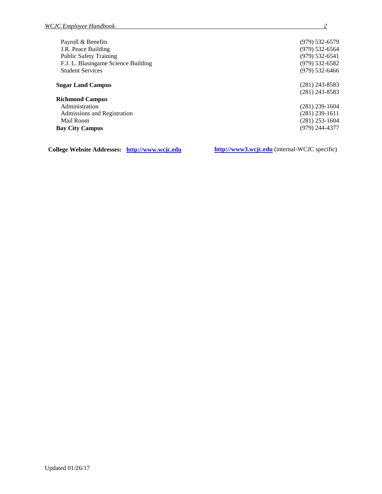| Payroll & Benefits                  | $(979) 532 - 6579$ |
|-------------------------------------|--------------------|
| J.R. Peace Building                 | $(979)$ 532-6564   |
| <b>Public Safety Training</b>       | $(979) 532 - 6541$ |
| F.J. L. Blasingame Science Building | $(979) 532 - 6582$ |
| <b>Student Services</b>             | $(979)$ 532-6466   |
| <b>Sugar Land Campus</b>            | $(281)$ 243-8583   |
|                                     | $(281)$ 243-8583   |
| <b>Richmond Campus</b>              |                    |
| Administration                      | $(281)$ 239-1604   |
| Admissions and Registration         | (281) 239-1611     |
| Mail Room                           | $(281)$ 253-1604   |
| <b>Bay City Campus</b>              | (979) 244-4377     |
|                                     |                    |

**College Website Addresses: [http://www.wcjc.edu](http://www.wcjc.edu/) [http://www3.wcjc.edu](http://www3.wcjc.edu/)** (internal-WCJC specific)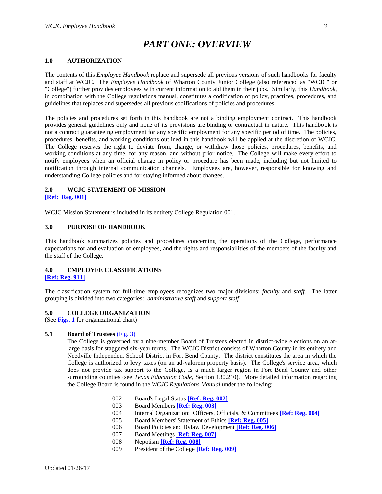## <span id="page-11-0"></span> *PART ONE: OVERVIEW*

#### <span id="page-11-1"></span>**1.0 AUTHORIZATION**

The contents of this *Employee Handbook* replace and supersede all previous versions of such handbooks for faculty and staff at WCJC. The *Employee Handbook* of Wharton County Junior College (also referenced as "WCJC" or "College") further provides employees with current information to aid them in their jobs. Similarly, this *Handbook,*  in combination with the College regulations manual, constitutes a codification of policy, practices, procedures, and guidelines that replaces and supersedes all previous codifications of policies and procedures.

The policies and procedures set forth in this handbook are not a binding employment contract. This handbook provides general guidelines only and none of its provisions are binding or contractual in nature. This handbook is not a contract guaranteeing employment for any specific employment for any specific period of time. The policies, procedures, benefits, and working conditions outlined in this handbook will be applied at the discretion of WCJC. The College reserves the right to deviate from, change, or withdraw those policies, procedures, benefits, and working conditions at any time, for any reason, and without prior notice. The College will make every effort to notify employees when an official change in policy or procedure has been made, including but not limited to notification through internal communication channels. Employees are, however, responsible for knowing and understanding College policies and for staying informed about changes.

#### <span id="page-11-2"></span>**2.0 WCJC STATEMENT OF MISSION**

<span id="page-11-3"></span>**[\[Ref: Reg. 001\]](http://www.wcjc.edu/About-Us/documents/regs/REG001-WCJC-Mission-final-approved.pdf)**

WCJC Mission Statement is included in its entirety College Regulation 001.

#### <span id="page-11-4"></span>**3.0 PURPOSE OF HANDBOOK**

This handbook summarizes policies and procedures concerning the operations of the College, performance expectations for and evaluation of employees, and the rights and responsibilities of the members of the faculty and the staff of the College.

#### <span id="page-11-6"></span><span id="page-11-5"></span>**4.0 EMPLOYEE CLASSIFICATIONS [\[Ref: Reg. 911\]](http://www.wcjc.edu/About-Us/documents/regs/REG911.pdf)**

The classification system for full-time employees recognizes two major divisions: *faculty* and *staff.* The latter grouping is divided into two categories: *administrative staff* and *support staff*.

#### <span id="page-11-7"></span>**5.0 COLLEGE ORGANIZATION**

(See **[Figs. 1](http://www.wcjc.edu/About-Us/documents/org-chart/Administrative.pdf)** for organizational chart)

#### <span id="page-11-8"></span>**5.1 Board of Trustees** [\(Fig. 3\)](http://www.wcjc.edu/About-Us/administration/board-of-trustees/index.aspx)

The College is governed by a nine-member Board of Trustees elected in district-wide elections on an atlarge basis for staggered six-year terms. The WCJC District consists of Wharton County in its entirety and Needville Independent School District in Fort Bend County. The district constitutes the area in which the College is authorized to levy taxes (on an ad-valorem property basis). The College's service area, which does not provide tax support to the College, is a much larger region in Fort Bend County and other surrounding counties (see *Texas Education Code*, Section 130.210). More detailed information regarding the College Board is found in the *WCJC Regulations Manual* under the following:

- 002 Board's Legal Status **[\[Ref: Reg. 002\]](http://www.wcjc.edu/About-Us/documents/regs/REG002.pdf)**
- 003 Board Members **[\[Ref: Reg. 003\]](http://www.wcjc.edu/About-Us/documents/regs/REG003.pdf)**
- 004 Internal Organization: Officers, Officials, & Committees **[\[Ref: Reg. 004\]](http://www.wcjc.edu/About-Us/documents/regs/REG004.pdf)**
- 005 Board Members' Statement of Ethics **[\[Ref: Reg. 005\]](http://www.wcjc.edu/About-Us/documents/regs/Reg005.pdf)**
- 006 Board Policies and Bylaw Development **[\[Ref: Reg. 006\]](http://www.wcjc.edu/About-Us/documents/regs/REG006.pdf)**
- 007 Board Meetings **[\[Ref: Reg. 007\]](http://www.wcjc.edu/About-Us/documents/regs/REG007.pdf)**
- 008 Nepotism **[\[Ref: Reg. 008\]](http://www.wcjc.edu/About-Us/documents/regs/REG008.pdf)**
- 009 President of the College **[\[Ref: Reg. 009\]](http://www.wcjc.edu/About-Us/documents/regs/REG009-College-President-5-30-86-3-22-95.pdf)**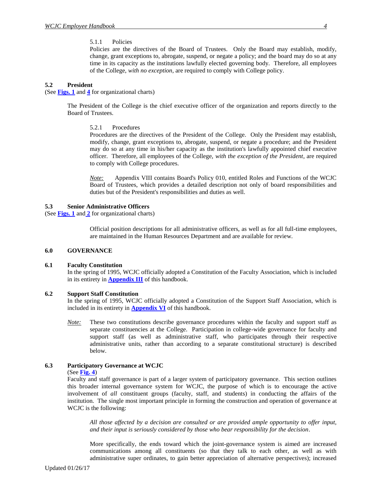#### 5.1.1 Policies

Policie*s* are the directives of the Board of Trustees. Only the Board may establish, modify, change, grant exceptions to, abrogate, suspend, or negate a policy; and the board may do so at any time in its capacity as the institutions lawfully elected governing body. Therefore, all employees of the College, *with no exception*, are required to comply with College policy.

#### <span id="page-12-1"></span><span id="page-12-0"></span>**5.2 President**

(See **[Figs. 1](http://www.wcjc.edu/About-Us/documents/org-chart/Administrative.pdf)** and **[4](http://www.wcjc.edu/About-Us/documents/org-chart/Presidents.pdf)** for organizational charts)

<span id="page-12-2"></span>The President of the College is the chief executive officer of the organization and reports directly to the Board of Trustees.

5.2.1 Procedures

Procedures are the directives of the President of the College. Only the President may establish, modify, change, grant exceptions to, abrogate, suspend, or negate a procedure; and the President may do so at any time in his/her capacity as the institution's lawfully appointed chief executive officer. Therefore, all employees of the College, *with the exception of the President*, are required to comply with College procedures.

*Note:* Appendix VIII contains Board's Policy 010, entitled Roles and Functions of the WCJC Board of Trustees, which provides a detailed description not only of board responsibilities and duties but of the President's responsibilities and duties as well.

#### <span id="page-12-3"></span>**5.3 Senior Administrative Officers**

(See **[Figs. 1](http://www.wcjc.edu/About-Us/documents/org-chart/Administrative.pdf)** and **[2](http://www.wcjc.edu/About-Us/administration/administrative-staff.aspx)** for organizational charts)

Official position descriptions for all administrative officers, as well as for all full-time employees, are maintained in the Human Resources Department and are available for review.

#### <span id="page-12-4"></span>**6.0 GOVERNANCE**

#### <span id="page-12-5"></span>**6.1 Faculty Constitution**

In the spring of 1995, WCJC officially adopted a Constitution of the Faculty Association, which is included in its entirety in **[Appendix III](http://www.wcjc.edu/About-Us/administration/offices/human-resourses/documents/Appendix-III-Constitution-of-the-Faculty-Association.pdf)** of this handbook.

#### <span id="page-12-6"></span>**6.2 Support Staff Constitution**

In the spring of 1995, WCJC officially adopted a Constitution of the Support Staff Association, which is included in its entirety in **[Appendix VI](http://www.wcjc.edu/About-Us/administration/offices/human-resourses/documents/Appendix-VI-Support-Staff-Constitution.pdf)** of this handbook.

*Note:* These two constitutions describe governance procedures within the faculty and support staff as separate constituencies at the College. Participation in college-wide governance for faculty and support staff (as well as administrative staff, who participates through their respective administrative units, rather than according to a separate constitutional structure) is described below.

#### <span id="page-12-7"></span>**6.3 Participatory Governance at WCJC**

(See **[Fig. 4](http://www.wcjc.edu/About-Us/documents/org-chart/Presidents.pdf)**)

Faculty and staff governance is part of a larger system of participatory governance. This section outlines this broader internal governance system for WCJC, the purpose of which is to encourage the active involvement of *all* constituent groups (faculty, staff, and students) in conducting the affairs of the institution. The single most important principle in forming the construction and operation of governance at WCJC is the following:

*All those affected by a decision are consulted or are provided ample opportunity to offer input, and their input is seriously considered by those who bear responsibility for the decision*.

More specifically, the ends toward which the joint-governance system is aimed are increased communications among all constituents (so that they talk to each other, as well as with administrative super ordinates, to gain better appreciation of alternative perspectives); increased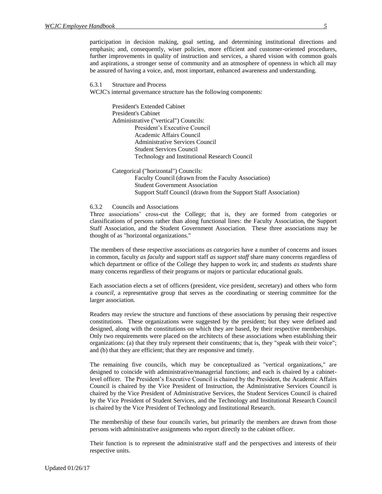participation in decision making, goal setting, and determining institutional directions and emphasis; and, consequently, wiser policies, more efficient and customer-oriented procedures, further improvements in quality of instruction and services, a shared vision with common goals and aspirations, a stronger sense of community and an atmosphere of openness in which all may be assured of having a voice, and, most important, enhanced awareness and understanding.

<span id="page-13-0"></span>6.3.1 Structure and Process

WCJC's internal governance structure has the following components:

President's Extended Cabinet President's Cabinet Administrative ("vertical") Councils: President's Executive Council Academic Affairs Council Administrative Services Council Student Services Council Technology and Institutional Research Council

Categorical ("horizontal") Councils: Faculty Council (drawn from the Faculty Association) Student Government Association Support Staff Council (drawn from the Support Staff Association)

#### <span id="page-13-1"></span>6.3.2 Councils and Associations

Three associations' cross-cut the College; that is, they are formed from categories or classifications of persons rather than along functional lines: the Faculty Association, the Support Staff Association, and the Student Government Association. These three associations may be thought of as "horizontal organizations."

The members of these respective associations *as categories* have a number of concerns and issues in common, faculty *as faculty* and support staff *as support staff* share many concerns regardless of which department or office of the College they happen to work in; and students *as students* share many concerns regardless of their programs or majors or particular educational goals.

Each association elects a set of officers (president, vice president, secretary) and others who form a *council*, a representative group that serves as the coordinating or steering committee for the larger association.

Readers may review the structure and functions of these associations by perusing their respective constitutions. These organizations were suggested by the president; but they were defined and designed, along with the constitutions on which they are based, by their respective memberships. Only two requirements were placed on the architects of these associations when establishing their organizations: (a) that they truly represent their constituents; that is, they "speak with their voice"; and (b) that they are efficient; that they are responsive and timely.

The remaining five councils, which may be conceptualized as "vertical organizations," are designed to coincide with administrative/managerial functions; and each is chaired by a cabinetlevel officer. The President's Executive Council is chaired by the President, the Academic Affairs Council is chaired by the Vice President of Instruction, the Administrative Services Council is chaired by the Vice President of Administrative Services, the Student Services Council is chaired by the Vice President of Student Services, and the Technology and Institutional Research Council is chaired by the Vice President of Technology and Institutional Research.

The membership of these four councils varies, but primarily the members are drawn from those persons with administrative assignments who report directly to the cabinet officer.

Their function is to represent the administrative staff and the perspectives and interests of their respective units.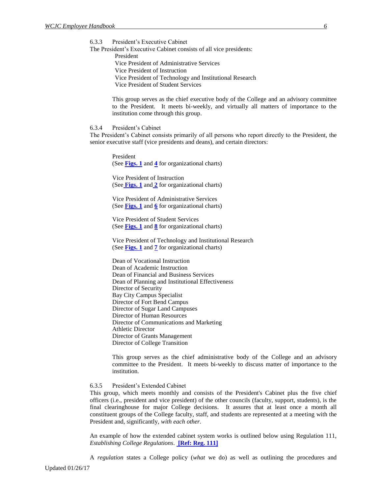<span id="page-14-0"></span>6.3.3 President's Executive Cabinet

The President's Executive Cabinet consists of all vice presidents: President Vice President of Administrative Services Vice President of Instruction Vice President of Technology and Institutional Research Vice President of Student Services

> This group serves as the chief executive body of the College and an advisory committee to the President. It meets bi-weekly, and virtually all matters of importance to the institution come through this group.

<span id="page-14-1"></span>6.3.4 President's Cabinet

The President's Cabinet consists primarily of all persons who report directly to the President, the senior executive staff (vice presidents and deans), and certain directors:

President (See **[Figs. 1](http://www.wcjc.edu/About-Us/documents/org-chart/Administrative.pdf)** and **[4](http://www.wcjc.edu/About-Us/documents/org-chart/Presidents.pdf)** for organizational charts)

Vice President of Instruction (See **[Figs. 1](http://www.wcjc.edu/About-Us/documents/org-chart/Administrative.pdf)** and **[2](http://www.wcjc.edu/About-Us/documents/org-chart/Instruction.pdf)** for organizational charts)

Vice President of Administrative Services (See **[Figs. 1](http://www.wcjc.edu/About-Us/documents/org-chart/Administrative.pdf)** and **[6](http://www.wcjc.edu/About-Us/documents/org-chart/Administrative-Services.pdf)** for organizational charts)

Vice President of Student Services (See **[Figs. 1](http://www.wcjc.edu/About-Us/documents/org-chart/Administrative.pdf)** and **[8](http://www.wcjc.edu/About-Us/documents/org-chart/Student-Services.pdf)** for organizational charts)

Vice President of Technology and Institutional Research (See **[Figs. 1](http://www.wcjc.edu/About-Us/documents/org-chart/Administrative.pdf)** and **[7](http://www.wcjc.edu/About-Us/documents/org-chart/Technology-and-Institutional-Research.pdf)** for organizational charts)

Dean of Vocational Instruction Dean of Academic Instruction Dean of Financial and Business Services Dean of Planning and Institutional Effectiveness Director of Security Bay City Campus Specialist Director of Fort Bend Campus Director of Sugar Land Campuses Director of Human Resources Director of Communications and Marketing Athletic Director Director of Grants Management Director of College Transition

This group serves as the chief administrative body of the College and an advisory committee to the President. It meets bi-weekly to discuss matter of importance to the institution.

#### <span id="page-14-2"></span>6.3.5 President's Extended Cabinet

This group, which meets monthly and consists of the President's Cabinet plus the five chief officers (i.e., president and vice president) of the other councils (faculty, support, students), is the final clearinghouse for major College decisions. It assures that at least once a month all constituent groups of the College faculty, staff, and students are represented at a meeting with the President and, significantly, *with each other.*

An example of how the extended cabinet system works is outlined below using Regulation 111, *Establishing College Regulations*. **[\[Ref: Reg. 111\]](http://www.wcjc.edu/About-Us/documents/regs/REG111.pdf)**

A *regulation* states a College policy (*what* we do) as well as outlining the procedures and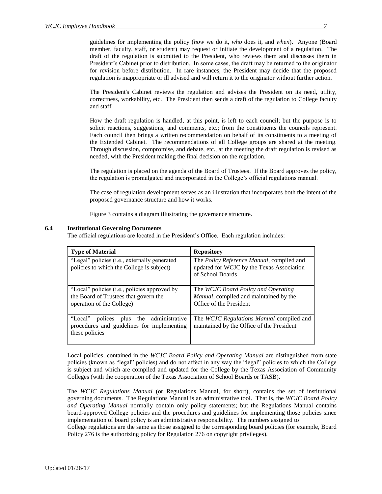guidelines for implementing the policy (*how* we do it, *who* does it, and *when*).Anyone (Board member, faculty, staff, or student) may request or initiate the development of a regulation. The draft of the regulation is submitted to the President, who reviews them and discusses them in President's Cabinet prior to distribution. In some cases, the draft may be returned to the originator for revision before distribution. In rare instances, the President may decide that the proposed regulation is inappropriate or ill advised and will return it to the originator without further action.

The President's Cabinet reviews the regulation and advises the President on its need, utility, correctness, workability, etc. The President then sends a draft of the regulation to College faculty and staff.

How the draft regulation is handled, at this point, is left to each council; but the purpose is to solicit reactions, suggestions, and comments, etc.; from the constituents the councils represent. Each council then brings a written recommendation on behalf of its constituents to a meeting of the Extended Cabinet. The recommendations of all College groups are shared at the meeting. Through discussion, compromise, and debate, etc., at the meeting the draft regulation is revised as needed, with the President making the final decision on the regulation.

The regulation is placed on the agenda of the Board of Trustees. If the Board approves the policy, the regulation is promulgated and incorporated in the College's official regulations manual.

The case of regulation development serves as an illustration that incorporates both the intent of the proposed governance structure and how it works.

Figure 3 contains a diagram illustrating the governance structure.

#### <span id="page-15-0"></span>**6.4 Institutional Governing Documents**

The official regulations are located in the President's Office. Each regulation includes:

| <b>Type of Material</b>                                                                                            | <b>Repository</b>                                                                                                  |
|--------------------------------------------------------------------------------------------------------------------|--------------------------------------------------------------------------------------------------------------------|
| "Legal" policies (i.e., externally generated<br>policies to which the College is subject)                          | The <i>Policy Reference Manual</i> , compiled and<br>updated for WCJC by the Texas Association<br>of School Boards |
| "Local" policies (i.e., policies approved by<br>the Board of Trustees that govern the<br>operation of the College) | The WCJC Board Policy and Operating<br>Manual, compiled and maintained by the<br>Office of the President           |
| polices plus the administrative<br>"Local"<br>procedures and guidelines for implementing<br>these policies         | The WCJC Regulations Manual compiled and<br>maintained by the Office of the President                              |

Local policies, contained in the *WCJC Board Policy and Operating Manual* are distinguished from state policies (known as "legal" policies) and do not affect in any way the "legal" policies to which the College is subject and which are compiled and updated for the College by the Texas Association of Community Colleges (with the cooperation of the Texas Association of School Boards or TASB).

The *WCJC Regulations Manual* (or Regulations Manual, for short), contains the set of institutional governing documents. The Regulations Manual is an administrative tool. That is, the *WCJC Board Policy and Operating Manual* normally contain only policy statements; but the Regulations Manual contains board-approved College policies and the procedures and guidelines for implementing those policies since implementation of board policy is an administrative responsibility. The numbers assigned to

College regulations are the same as those assigned to the corresponding board policies (for example, Board Policy 276 is the authorizing policy for Regulation 276 on copyright privileges).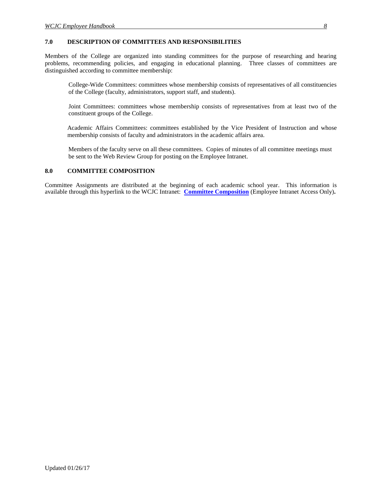#### <span id="page-16-0"></span>**7.0 DESCRIPTION OF COMMITTEES AND RESPONSIBILITIES**

Members of the College are organized into standing committees for the purpose of researching and hearing problems, recommending policies, and engaging in educational planning. Three classes of committees are distinguished according to committee membership:

College-Wide Committees: committees whose membership consists of representatives of all constituencies of the College (faculty, administrators, support staff, and students).

Joint Committees: committees whose membership consists of representatives from at least two of the constituent groups of the College.

Academic Affairs Committees: committees established by the Vice President of Instruction and whose membership consists of faculty and administrators in the academic affairs area.

Members of the faculty serve on all these committees. Copies of minutes of all committee meetings must be sent to the Web Review Group for posting on the Employee Intranet.

#### <span id="page-16-1"></span>**8.0 COMMITTEE COMPOSITION**

Committee Assignments are distributed at the beginning of each academic school year. This information is available through this hyperlink to the WCJC Intranet: **[Committee Composition](http://www3/intranet/Meetings/Committee%20List/documents/Committee%20List.pdf)** (Employee Intranet Access Only)**.**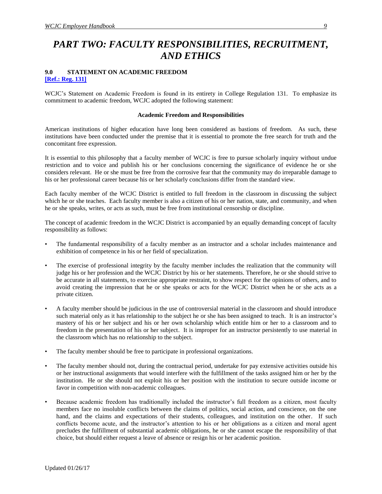## <span id="page-17-0"></span>*PART TWO: FACULTY RESPONSIBILITIES, RECRUITMENT, AND ETHICS*

#### <span id="page-17-2"></span><span id="page-17-1"></span>**9.0 STATEMENT ON ACADEMIC FREEDOM [\[Ref.: Reg. 131\]](http://www.wcjc.edu/About-Us/documents/regs/Reg131.pdf)**

WCJC's Statement on Academic Freedom is found in its entirety in College Regulation 131. To emphasize its commitment to academic freedom, WCJC adopted the following statement:

#### **Academic Freedom and Responsibilities**

American institutions of higher education have long been considered as bastions of freedom. As such, these institutions have been conducted under the premise that it is essential to promote the free search for truth and the concomitant free expression.

It is essential to this philosophy that a faculty member of WCJC is free to pursue scholarly inquiry without undue restriction and to voice and publish his or her conclusions concerning the significance of evidence he or she considers relevant. He or she must be free from the corrosive fear that the community may do irreparable damage to his or her professional career because his or her scholarly conclusions differ from the standard view.

Each faculty member of the WCJC District is entitled to full freedom in the classroom in discussing the subject which he or she teaches. Each faculty member is also a citizen of his or her nation, state, and community, and when he or she speaks, writes, or acts as such, must be free from institutional censorship or discipline.

The concept of academic freedom in the WCJC District is accompanied by an equally demanding concept of faculty responsibility as follows:

- The fundamental responsibility of a faculty member as an instructor and a scholar includes maintenance and exhibition of competence in his or her field of specialization.
- The exercise of professional integrity by the faculty member includes the realization that the community will judge his or her profession and the WCJC District by his or her statements. Therefore, he or she should strive to be accurate in all statements, to exercise appropriate restraint, to show respect for the opinions of others, and to avoid creating the impression that he or she speaks or acts for the WCJC District when he or she acts as a private citizen.
- A faculty member should be judicious in the use of controversial material in the classroom and should introduce such material only as it has relationship to the subject he or she has been assigned to teach. It is an instructor's mastery of his or her subject and his or her own scholarship which entitle him or her to a classroom and to freedom in the presentation of his or her subject. It is improper for an instructor persistently to use material in the classroom which has no relationship to the subject.
- The faculty member should be free to participate in professional organizations.
- The faculty member should not, during the contractual period, undertake for pay extensive activities outside his or her instructional assignments that would interfere with the fulfillment of the tasks assigned him or her by the institution. He or she should not exploit his or her position with the institution to secure outside income or favor in competition with non-academic colleagues.
- Because academic freedom has traditionally included the instructor's full freedom as a citizen, most faculty members face no insoluble conflicts between the claims of politics, social action, and conscience, on the one hand, and the claims and expectations of their students, colleagues, and institution on the other. If such conflicts become acute, and the instructor's attention to his or her obligations as a citizen and moral agent precludes the fulfillment of substantial academic obligations, he or she cannot escape the responsibility of that choice, but should either request a leave of absence or resign his or her academic position.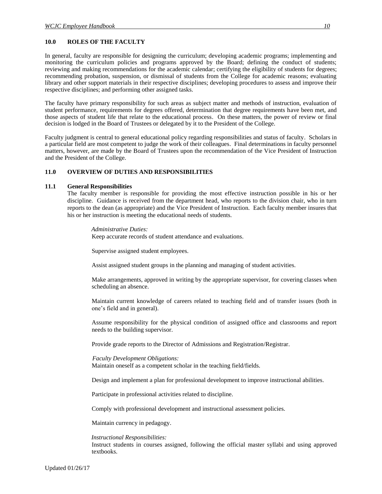#### <span id="page-18-0"></span>**10.0 ROLES OF THE FACULTY**

In general, faculty are responsible for designing the curriculum; developing academic programs; implementing and monitoring the curriculum policies and programs approved by the Board; defining the conduct of students; reviewing and making recommendations for the academic calendar; certifying the eligibility of students for degrees; recommending probation, suspension, or dismissal of students from the College for academic reasons; evaluating library and other support materials in their respective disciplines; developing procedures to assess and improve their respective disciplines; and performing other assigned tasks.

The faculty have primary responsibility for such areas as subject matter and methods of instruction, evaluation of student performance, requirements for degrees offered, determination that degree requirements have been met, and those aspects of student life that relate to the educational process. On these matters, the power of review or final decision is lodged in the Board of Trustees or delegated by it to the President of the College.

Faculty judgment is central to general educational policy regarding responsibilities and status of faculty. Scholars in a particular field are most competent to judge the work of their colleagues. Final determinations in faculty personnel matters, however, are made by the Board of Trustees upon the recommendation of the Vice President of Instruction and the President of the College.

#### <span id="page-18-1"></span>**11.0 OVERVIEW OF DUTIES AND RESPONSIBILITIES**

#### <span id="page-18-2"></span>**11.1 General Responsibilities**

The faculty member is responsible for providing the most effective instruction possible in his or her discipline. Guidance is received from the department head, who reports to the division chair, who in turn reports to the dean (as appropriate) and the Vice President of Instruction. Each faculty member insures that his or her instruction is meeting the educational needs of students.

*Administrative Duties:* Keep accurate records of student attendance and evaluations.

Supervise assigned student employees.

Assist assigned student groups in the planning and managing of student activities.

Make arrangements, approved in writing by the appropriate supervisor, for covering classes when scheduling an absence.

Maintain current knowledge of careers related to teaching field and of transfer issues (both in one's field and in general).

Assume responsibility for the physical condition of assigned office and classrooms and report needs to the building supervisor.

Provide grade reports to the Director of Admissions and Registration/Registrar.

#### *Faculty Development Obligations:*

Maintain oneself as a competent scholar in the teaching field/fields.

Design and implement a plan for professional development to improve instructional abilities.

Participate in professional activities related to discipline.

Comply with professional development and instructional assessment policies.

Maintain currency in pedagogy.

#### *Instructional Responsibilities:*

Instruct students in courses assigned, following the official master syllabi and using approved textbooks.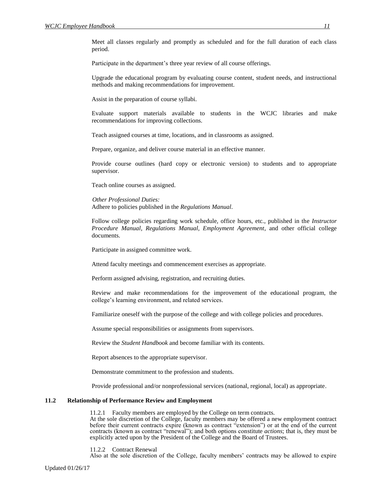Meet all classes regularly and promptly as scheduled and for the full duration of each class period.

Participate in the department's three year review of all course offerings.

Upgrade the educational program by evaluating course content, student needs, and instructional methods and making recommendations for improvement.

Assist in the preparation of course syllabi.

Evaluate support materials available to students in the WCJC libraries and make recommendations for improving collections.

Teach assigned courses at time, locations, and in classrooms as assigned.

Prepare, organize, and deliver course material in an effective manner.

Provide course outlines (hard copy or electronic version) to students and to appropriate supervisor.

Teach online courses as assigned.

*Other Professional Duties:* Adhere to policies published in the *Regulations Manual*.

Follow college policies regarding work schedule, office hours, etc., published in the *Instructor Procedure Manual, Regulations Manual, Employment Agreement*, and other official college documents.

Participate in assigned committee work.

Attend faculty meetings and commencement exercises as appropriate.

Perform assigned advising, registration, and recruiting duties.

Review and make recommendations for the improvement of the educational program, the college's learning environment, and related services.

Familiarize oneself with the purpose of the college and with college policies and procedures.

Assume special responsibilities or assignments from supervisors.

Review the *Student Handbook* and become familiar with its contents.

Report absences to the appropriate supervisor.

Demonstrate commitment to the profession and students.

Provide professional and/or nonprofessional services (national, regional, local) as appropriate.

#### <span id="page-19-1"></span><span id="page-19-0"></span>**11.2 Relationship of Performance Review and Employment**

11.2.1 Faculty members are employed by the College on term contracts.

At the sole discretion of the College, faculty members may be offered a new employment contract before their current contracts expire (known as contract "extension") or at the end of the current contracts (known as contract "renewal"); and both options constitute *actions*; that is, they must be explicitly acted upon by the President of the College and the Board of Trustees.

<span id="page-19-2"></span>11.2.2 Contract Renewal

Also at the sole discretion of the College, faculty members' contracts may be allowed to expire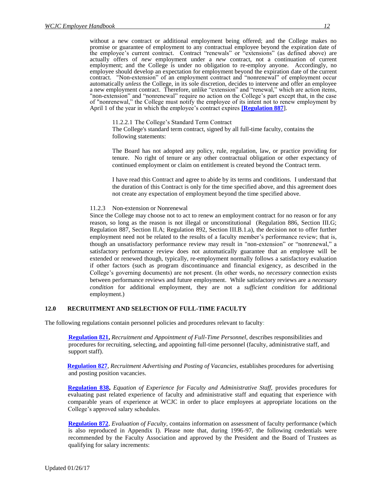without a new contract or additional employment being offered; and the College makes no promise or guarantee of employment to any contractual employee beyond the expiration date of the employee's current contract. Contract "renewals" or "extensions" (as defined above) are actually offers of *new* employment under a *new* contract, not a continuation of current employment; and the College is under no obligation to re-employ anyone. Accordingly, no employee should develop an expectation for employment beyond the expiration date of the current contract. "Non-extension" of an employment contract and "nonrenewal" of employment occur automatically *unless* the College, in its sole discretion, decides to intervene and offer an employee a new employment contract. Therefore, unlike "extension" and "renewal," which are action items, "non-extension" and "nonrenewal" require no action on the College's part except that, in the case of "nonrenewal," the College must notify the employee of its intent not to renew employment by April 1 of the year in which the employee's contract expires **[\[Regulation 887](http://www.wcjc.edu/About-Us/documents/regs/Reg-887-Nonrenewal-Termination-and-Dismissal-FINAL-PER-BOARD-APPROVAL-11-16-10.pdf)**].

<span id="page-20-0"></span>11.2.2.1 The College's Standard Term Contract

The College's standard term contract, signed by all full-time faculty, contains the following statements:

The Board has not adopted any policy, rule, regulation, law, or practice providing for tenure. No right of tenure or any other contractual obligation or other expectancy of continued employment or claim on entitlement is created beyond the Contract term.

I have read this Contract and agree to abide by its terms and conditions. I understand that the duration of this Contract is only for the time specified above, and this agreement does not create any expectation of employment beyond the time specified above.

#### 11.2.3 Non-extension or Nonrenewal

<span id="page-20-1"></span>Since the College may choose not to act to renew an employment contract for no reason or for any reason, so long as the reason is not illegal or unconstitutional (Regulation 886, Section III.G; Regulation 887, Section II.A; Regulation 892, Section III.B.1.a), the decision not to offer further employment need not be related to the results of a faculty member's performance review; that is, though an unsatisfactory performance review may result in "non-extension" or "nonrenewal," a satisfactory performance review does not automatically guarantee that an employee will be extended or renewed though, typically, re-employment normally follows a satisfactory evaluation if other factors (such as program discontinuance and financial exigency, as described in the College's governing documents) are not present. (In other words, no *necessary* connection exists between performance reviews and future employment. While satisfactory reviews are a *necessary condition* for additional employment, they are not a *sufficient condition* for additional employment.)

#### <span id="page-20-2"></span>**12.0 RECRUITMENT AND SELECTION OF FULL-TIME FACULTY**

The following regulations contain personnel policies and procedures relevant to faculty:

**[Regulation 821,](http://www.wcjc.edu/About-Us/documents/regs/REG821.pdf)** *Recruitment and Appointment of Full-Time Personnel,* describes responsibilities and procedures for recruiting, selecting, and appointing full-time personnel (faculty, administrative staff, and support staff).

**[Regulation 827](http://www.wcjc.edu/About-Us/documents/regs/REG827.pdf)**, *Recruitment Advertising and Posting of Vacancies,* establishes procedures for advertising and posting position vacancies.

**[Regulation 838,](http://www.wcjc.edu/About-Us/documents/regs/Reg838.pdf)** *Equation of Experience for Faculty and Administrative Staff,* provides procedures for evaluating past related experience of faculty and administrative staff and equating that experience with comparable years of experience at WCJC in order to place employees at appropriate locations on the College's approved salary schedules.

**[Regulation 872](http://www.wcjc.edu/About-Us/documents/regs/REG872.pdf)**, *Evaluation of Faculty,* contains information on assessment of faculty performance (which is also reproduced in Appendix I). Please note that, during 1996-97, the following credentials were recommended by the Faculty Association and approved by the President and the Board of Trustees as qualifying for salary increments: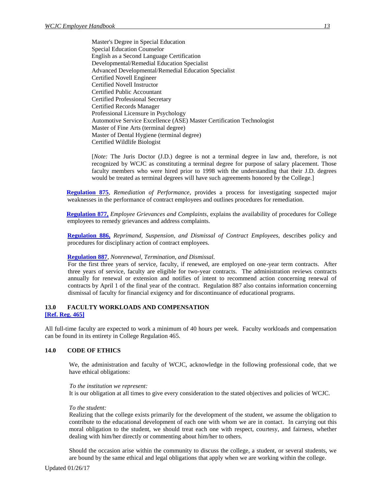Master's Degree in Special Education Special Education Counselor English as a Second Language Certification Developmental/Remedial Education Specialist Advanced Developmental/Remedial Education Specialist Certified Novell Engineer Certified Novell Instructor Certified Public Accountant Certified Professional Secretary Certified Records Manager Professional Licensure in Psychology Automotive Service Excellence (ASE) Master Certification Technologist Master of Fine Arts (terminal degree) Master of Dental Hygiene (terminal degree) Certified Wildlife Biologist

[*Note:* The Juris Doctor (J.D.) degree is not a terminal degree in law and, therefore, is not recognized by WCJC as constituting a terminal degree for purpose of salary placement. Those faculty members who were hired prior to 1998 with the understanding that their J.D. degrees would be treated as terminal degrees will have such agreements honored by the College.]

**[Regulation 875](http://www.wcjc.edu/About-Us/documents/regs/Reg-875-Remediation-of-Performance-Contract-Employees-FINAL-PER-BOARD-APPROVAL-3-23-10.pdf)**, *Remediation of Performance,* provides a process for investigating suspected major weaknesses in the performance of contract employees and outlines procedures for remediation.

**[Regulation 877,](http://www.wcjc.edu/About-Us/documents/regs/Reg-877-Employee-Grievances-and-Complaints-FINAL-PER-BOARD-APPROVAL-1-18-11.pdf)** *Employee Grievances and Complaints*, explains the availability of procedures for College employees to remedy grievances and address complaints.

**[Regulation 886,](http://www.wcjc.edu/About-Us/documents/regs/REG886.pdf)** *Reprimand, Suspension, and Dismissal of Contract Employees,* describes policy and procedures for disciplinary action of contract employees.

#### **[Regulation 887](http://www.wcjc.edu/About-Us/documents/regs/Reg-887-Nonrenewal-Termination-and-Dismissal-FINAL-PER-BOARD-APPROVAL-11-16-10.pdf)**, *Nonrenewal, Termination, and Dismissal.*

For the first three years of service, faculty, if renewed, are employed on one-year term contracts. After three years of service, faculty are eligible for two-year contracts. The administration reviews contracts annually for renewal or extension and notifies of intent to recommend action concerning renewal of contracts by April 1 of the final year of the contract. Regulation 887 also contains information concerning dismissal of faculty for financial exigency and for discontinuance of educational programs.

#### <span id="page-21-1"></span><span id="page-21-0"></span>**13.0 FACULTY WORKLOADS AND COMPENSATION [\[Ref. Reg. 465\]](http://www.wcjc.edu/About-Us/documents/regs/Reg465.pdf)**

All full-time faculty are expected to work a minimum of 40 hours per week. Faculty workloads and compensation can be found in its entirety in College Regulation 465.

#### <span id="page-21-2"></span>**14.0 CODE OF ETHICS**

We, the administration and faculty of WCJC, acknowledge in the following professional code, that we have ethical obligations:

#### *To the institution we represent:*

It is our obligation at all times to give every consideration to the stated objectives and policies of WCJC.

#### *To the student:*

Realizing that the college exists primarily for the development of the student, we assume the obligation to contribute to the educational development of each one with whom we are in contact. In carrying out this moral obligation to the student, we should treat each one with respect, courtesy, and fairness, whether dealing with him/her directly or commenting about him/her to others.

Should the occasion arise within the community to discuss the college, a student, or several students, we are bound by the same ethical and legal obligations that apply when we are working within the college.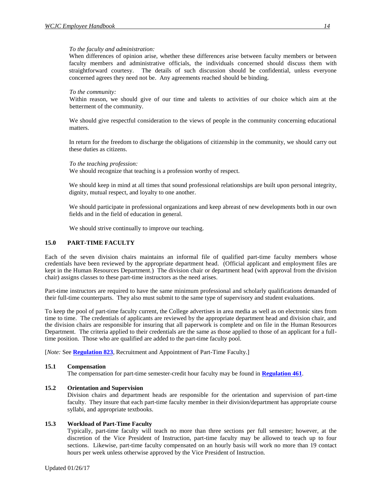#### *To the faculty and administration:*

When differences of opinion arise, whether these differences arise between faculty members or between faculty members and administrative officials, the individuals concerned should discuss them with straightforward courtesy. The details of such discussion should be confidential, unless everyone concerned agrees they need not be. Any agreements reached should be binding.

#### *To the community:*

Within reason, we should give of our time and talents to activities of our choice which aim at the betterment of the community.

We should give respectful consideration to the views of people in the community concerning educational matters.

In return for the freedom to discharge the obligations of citizenship in the community, we should carry out these duties as citizens.

#### *To the teaching profession:*

We should recognize that teaching is a profession worthy of respect.

We should keep in mind at all times that sound professional relationships are built upon personal integrity, dignity, mutual respect, and loyalty to one another.

We should participate in professional organizations and keep abreast of new developments both in our own fields and in the field of education in general.

We should strive continually to improve our teaching.

#### <span id="page-22-0"></span>**15.0 PART-TIME FACULTY**

Each of the seven division chairs maintains an informal file of qualified part-time faculty members whose credentials have been reviewed by the appropriate department head. (Official applicant and employment files are kept in the Human Resources Department.) The division chair or department head (with approval from the division chair) assigns classes to these part-time instructors as the need arises.

Part-time instructors are required to have the same minimum professional and scholarly qualifications demanded of their full-time counterparts. They also must submit to the same type of supervisory and student evaluations.

To keep the pool of part-time faculty current, the College advertises in area media as well as on electronic sites from time to time. The credentials of applicants are reviewed by the appropriate department head and division chair, and the division chairs are responsible for insuring that all paperwork is complete and on file in the Human Resources Department. The criteria applied to their credentials are the same as those applied to those of an applicant for a fulltime position. Those who are qualified are added to the part-time faculty pool.

[*Note: See [Regulation 823](http://www.wcjc.edu/About-Us/documents/regs/REG823.pdf)*, Recruitment and Appointment of Part-Time Faculty.]

#### <span id="page-22-1"></span>**15.1 Compensation**

The compensation for part-time semester-credit hour faculty may be found in **[Regulation 461](http://www.wcjc.edu/About-Us/documents/regs/REG461.pdf)**.

#### <span id="page-22-2"></span>**15.2 Orientation and Supervision**

Division chairs and department heads are responsible for the orientation and supervision of part-time faculty. They insure that each part-time faculty member in their division/department has appropriate course syllabi, and appropriate textbooks.

#### <span id="page-22-3"></span>**15.3 Workload of Part-Time Faculty**

Typically, part-time faculty will teach no more than three sections per full semester; however, at the discretion of the Vice President of Instruction, part-time faculty may be allowed to teach up to four sections. Likewise, part-time faculty compensated on an hourly basis will work no more than 19 contact hours per week unless otherwise approved by the Vice President of Instruction.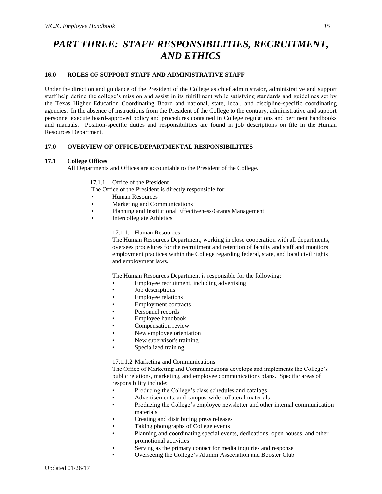## <span id="page-23-0"></span>*PART THREE: STAFF RESPONSIBILITIES, RECRUITMENT, AND ETHICS*

#### <span id="page-23-1"></span>**16.0 ROLES OF SUPPORT STAFF AND ADMINISTRATIVE STAFF**

Under the direction and guidance of the President of the College as chief administrator, administrative and support staff help define the college's mission and assist in its fulfillment while satisfying standards and guidelines set by the Texas Higher Education Coordinating Board and national, state, local, and discipline-specific coordinating agencies. In the absence of instructions from the President of the College to the contrary, administrative and support personnel execute board-approved policy and procedures contained in College regulations and pertinent handbooks and manuals. Position-specific duties and responsibilities are found in job descriptions on file in the Human Resources Department.

#### <span id="page-23-2"></span>**17.0 OVERVIEW OF OFFICE/DEPARTMENTAL RESPONSIBILITIES**

#### <span id="page-23-4"></span><span id="page-23-3"></span>**17.1 College Offices**

All Departments and Offices are accountable to the President of the College.

#### 17.1.1 Office of the President

The Office of the President is directly responsible for:

- Human Resources
- Marketing and Communications
- Planning and Institutional Effectiveness/Grants Management
- <span id="page-23-5"></span>**Intercollegiate Athletics**

#### 17.1.1.1 Human Resources

The Human Resources Department, working in close cooperation with all departments, oversees procedures for the recruitment and retention of faculty and staff and monitors employment practices within the College regarding federal, state, and local civil rights and employment laws.

The Human Resources Department is responsible for the following:

- Employee recruitment, including advertising
- Job descriptions
- Employee relations
- Employment contracts
- Personnel records
- Employee handbook
- Compensation review
- New employee orientation
- New supervisor's training
- Specialized training

#### <span id="page-23-6"></span>17.1.1.2 Marketing and Communications

The Office of Marketing and Communications develops and implements the College's public relations, marketing, and employee communications plans. Specific areas of responsibility include:

- Producing the College's class schedules and catalogs
- Advertisements, and campus-wide collateral materials
- Producing the College's employee newsletter and other internal communication materials
- Creating and distributing press releases
- Taking photographs of College events
- Planning and coordinating special events, dedications, open houses, and other promotional activities
- Serving as the primary contact for media inquiries and response
- Overseeing the College's Alumni Association and Booster Club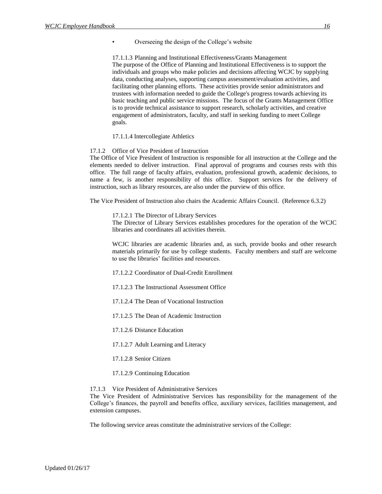• Overseeing the design of the College's website

<span id="page-24-0"></span>17.1.1.3 Planning and Institutional Effectiveness/Grants Management The purpose of the Office of Planning and Institutional Effectiveness is to support the individuals and groups who make policies and decisions affecting WCJC by supplying data, conducting analyses, supporting campus assessment/evaluation activities, and facilitating other planning efforts. These activities provide senior administrators and trustees with information needed to guide the College's progress towards achieving its basic teaching and public service missions. The focus of the Grants Management Office is to provide technical assistance to support research, scholarly activities, and creative engagement of administrators, faculty, and staff in seeking funding to meet College goals.

#### 17.1.1.4 Intercollegiate Athletics

#### <span id="page-24-2"></span><span id="page-24-1"></span>17.1.2 Office of Vice President of Instruction

The Office of Vice President of Instruction is responsible for all instruction at the College and the elements needed to deliver instruction. Final approval of programs and courses rests with this office. The full range of faculty affairs, evaluation, professional growth, academic decisions, to name a few, is another responsibility of this office. Support services for the delivery of instruction, such as library resources, are also under the purview of this office.

<span id="page-24-3"></span>The Vice President of Instruction also chairs the Academic Affairs Council. (Reference 6.3.2)

17.1.2.1 The Director of Library Services

The Director of Library Services establishes procedures for the operation of the WCJC libraries and coordinates all activities therein.

WCJC libraries are academic libraries and, as such, provide books and other research materials primarily for use by college students. Faculty members and staff are welcome to use the libraries' facilities and resources.

<span id="page-24-4"></span>17.1.2.2 Coordinator of Dual-Credit Enrollment

- <span id="page-24-5"></span>17.1.2.3 The Instructional Assessment Office
- <span id="page-24-6"></span>17.1.2.4 The Dean of Vocational Instruction

<span id="page-24-7"></span>17.1.2.5 The Dean of Academic Instruction

<span id="page-24-8"></span>17.1.2.6 Distance Education

17.1.2.7 Adult Learning and Literacy

- 17.1.2.8 Senior Citizen
- 17.1.2.9 Continuing Education

<span id="page-24-12"></span><span id="page-24-11"></span><span id="page-24-10"></span><span id="page-24-9"></span>17.1.3 Vice President of Administrative Services

The Vice President of Administrative Services has responsibility for the management of the College's finances, the payroll and benefits office, auxiliary services, facilities management, and extension campuses.

The following service areas constitute the administrative services of the College: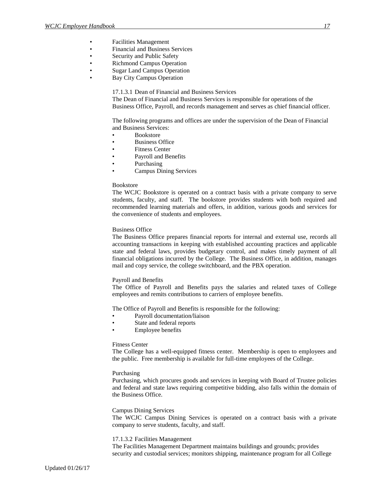- Facilities Management
- Financial and Business Services
- Security and Public Safety
- Richmond Campus Operation
- Sugar Land Campus Operation
- <span id="page-25-0"></span>• Bay City Campus Operation

17.1.3.1 Dean of Financial and Business Services

The Dean of Financial and Business Services is responsible for operations of the Business Office, Payroll, and records management and serves as chief financial officer.

The following programs and offices are under the supervision of the Dean of Financial and Business Services:

- Bookstore
- Business Office
- Fitness Center
- Payroll and Benefits
- Purchasing
- Campus Dining Services

#### Bookstore

The WCJC Bookstore is operated on a contract basis with a private company to serve students, faculty, and staff. The bookstore provides students with both required and recommended learning materials and offers, in addition, various goods and services for the convenience of students and employees.

#### Business Office

The Business Office prepares financial reports for internal and external use, records all accounting transactions in keeping with established accounting practices and applicable state and federal laws, provides budgetary control, and makes timely payment of all financial obligations incurred by the College. The Business Office, in addition, manages mail and copy service, the college switchboard, and the PBX operation.

#### Payroll and Benefits

The Office of Payroll and Benefits pays the salaries and related taxes of College employees and remits contributions to carriers of employee benefits.

The Office of Payroll and Benefits is responsible for the following:

- Payroll documentation/liaison
- State and federal reports
- Employee benefits

#### Fitness Center

The College has a well-equipped fitness center. Membership is open to employees and the public. Free membership is available for full-time employees of the College.

#### Purchasing

Purchasing, which procures goods and services in keeping with Board of Trustee policies and federal and state laws requiring competitive bidding, also falls within the domain of the Business Office.

#### Campus Dining Services

The WCJC Campus Dining Services is operated on a contract basis with a private company to serve students, faculty, and staff.

#### <span id="page-25-1"></span>17.1.3.2 Facilities Management

The Facilities Management Department maintains buildings and grounds; provides security and custodial services; monitors shipping, maintenance program for all College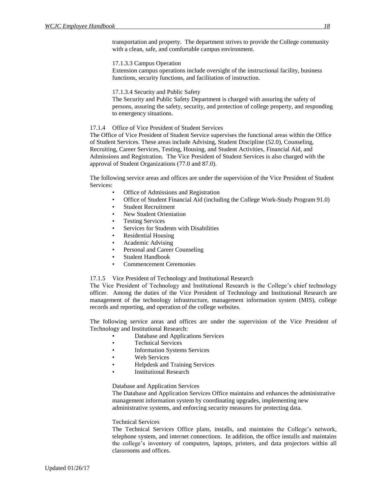transportation and property. The department strives to provide the College community with a clean, safe, and comfortable campus environment.

17.1.3.3 Campus Operation

Extension campus operations include oversight of the instructional facility, business functions, security functions, and facilitation of instruction.

17.1.3.4 Security and Public Safety

The Security and Public Safety Department is charged with assuring the safety of persons, assuring the safety, security, and protection of college property, and responding to emergency situations.

#### <span id="page-26-0"></span>17.1.4 Office of Vice President of Student Services

The Office of Vice President of Student Service supervises the functional areas within the Office of Student Services. These areas include Advising, Student Discipline (52.0), Counseling, Recruiting, Career Services, Testing, Housing, and Student Activities, Financial Aid, and Admissions and Registration. The Vice President of Student Services is also charged with the approval of Student Organizations (77.0 and 87.0).

The following service areas and offices are under the supervision of the Vice President of Student Services:

- Office of Admissions and Registration
- Office of Student Financial Aid (including the College Work-Study Program 91.0)
- Student Recruitment
- New Student Orientation
- **Testing Services**
- Services for Students with Disabilities
- Residential Housing
- Academic Advising
- Personal and Career Counseling
- Student Handbook
- Commencement Ceremonies

#### <span id="page-26-1"></span>17.1.5 Vice President of Technology and Institutional Research

The Vice President of Technology and Institutional Research is the College's chief technology officer. Among the duties of the Vice President of Technology and Institutional Research are management of the technology infrastructure, management information system (MIS), college records and reporting, and operation of the college websites.

The following service areas and offices are under the supervision of the Vice President of Technology and Institutional Research:

- Database and Applications Services
- Technical Services
- Information Systems Services
- Web Services
- Helpdesk and Training Services
- **Institutional Research**

#### Database and Application Services

The Database and Application Services Office maintains and enhances the administrative management information system by coordinating upgrades, implementing new administrative systems, and enforcing security measures for protecting data.

#### Technical Services

The Technical Services Office plans, installs, and maintains the College's network, telephone system, and internet connections. In addition, the office installs and maintains the college's inventory of computers, laptops, printers, and data projectors within all classrooms and offices.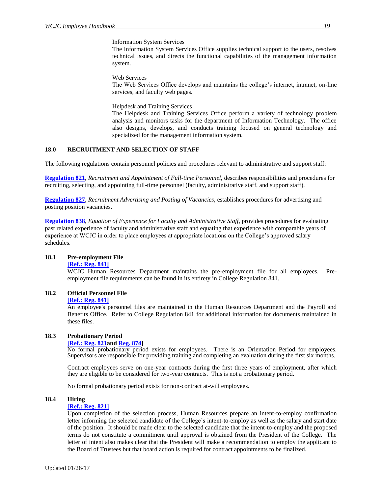Information System Services

The Information System Services Office supplies technical support to the users, resolves technical issues, and directs the functional capabilities of the management information system.

Web Services

The Web Services Office develops and maintains the college's internet, intranet, on-line services, and faculty web pages.

Helpdesk and Training Services

The Helpdesk and Training Services Office perform a variety of technology problem analysis and monitors tasks for the department of Information Technology. The office also designs, develops, and conducts training focused on general technology and specialized for the management information system.

#### <span id="page-27-0"></span>**18.0 RECRUITMENT AND SELECTION OF STAFF**

The following regulations contain personnel policies and procedures relevant to administrative and support staff:

**[Regulation 821](http://www.wcjc.edu/About-Us/documents/regs/REG821.pdf)**, *Recruitment and Appointment of Full-time Personnel,* describes responsibilities and procedures for recruiting, selecting, and appointing full-time personnel (faculty, administrative staff, and support staff).

**[Regulation 827](http://www.wcjc.edu/About-Us/documents/regs/REG827.pdf)**, *Recruitment Advertising and Posting of Vacancies,* establishes procedures for advertising and posting position vacancies.

**[Regulation 838](http://www.wcjc.edu/About-Us/documents/regs/Reg838.pdf)**, *Equation of Experience for Faculty and Administrative Staff*, provides procedures for evaluating past related experience of faculty and administrative staff and equating that experience with comparable years of experience at WCJC in order to place employees at appropriate locations on the College's approved salary schedules.

#### <span id="page-27-2"></span><span id="page-27-1"></span>**18.1 Pre-employment File**

#### **[\[Ref.: Reg. 841\]](http://www.wcjc.edu/About-Us/documents/regs/REG841.pdf)**

WCJC Human Resources Department maintains the pre-employment file for all employees. Preemployment file requirements can be found in its entirety in College Regulation 841.

#### <span id="page-27-4"></span><span id="page-27-3"></span>**18.2 Official Personnel File**

#### **[\[Ref.: Reg. 841\]](http://www.wcjc.edu/About-Us/documents/regs/REG841.pdf)**

An employee's personnel files are maintained in the Human Resources Department and the Payroll and Benefits Office. Refer to College Regulation 841 for additional information for documents maintained in these files.

#### <span id="page-27-6"></span><span id="page-27-5"></span>**18.3 Probationary Period**

#### **[\[Ref.: Reg. 821a](http://www.wcjc.edu/About-Us/documents/regs/REG821.pdf)nd [Reg. 874\]](http://www.wcjc.edu/About-Us/documents/regs/REG874.pdf)**

No formal probationary period exists for employees. There is an Orientation Period for employees. Supervisors are responsible for providing training and completing an evaluation during the first six months.

Contract employees serve on one-year contracts during the first three years of employment, after which they are eligible to be considered for two-year contracts. This is not a probationary period.

No formal probationary period exists for non-contract at-will employees.

#### <span id="page-27-8"></span><span id="page-27-7"></span>**18.4 Hiring**

#### **[\[Ref.: Reg. 821\]](http://www.wcjc.edu/About-Us/documents/regs/REG821.pdf)**

Upon completion of the selection process, Human Resources prepare an intent-to-employ confirmation letter informing the selected candidate of the College's intent-to-employ as well as the salary and start date of the position. It should be made clear to the selected candidate that the intent-to-employ and the proposed terms do not constitute a commitment until approval is obtained from the President of the College. The letter of intent also makes clear that the President will make a recommendation to employ the applicant to the Board of Trustees but that board action is required for contract appointments to be finalized.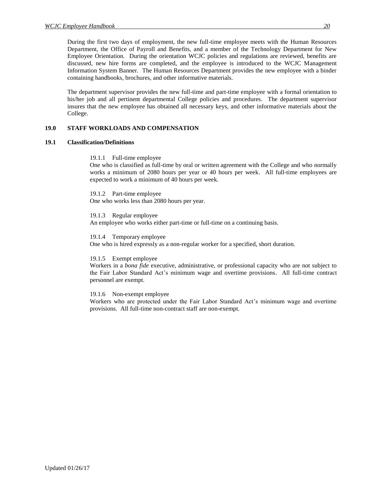During the first two days of employment, the new full-time employee meets with the Human Resources Department, the Office of Payroll and Benefits, and a member of the Technology Department for New Employee Orientation. During the orientation WCJC policies and regulations are reviewed, benefits are discussed, new hire forms are completed, and the employee is introduced to the WCJC Management Information System Banner. The Human Resources Department provides the new employee with a binder containing handbooks, brochures, and other informative materials.

The department supervisor provides the new full-time and part-time employee with a formal orientation to his/her job and all pertinent departmental College policies and procedures. The department supervisor insures that the new employee has obtained all necessary keys, and other informative materials about the College.

#### <span id="page-28-0"></span>**19.0 STAFF WORKLOADS AND COMPENSATION**

#### <span id="page-28-2"></span><span id="page-28-1"></span>**19.1 Classification/Definitions**

19.1.1 Full-time employee

One who is classified as full-time by oral or written agreement with the College and who normally works a minimum of 2080 hours per year or 40 hours per week. All full-time employees are expected to work a minimum of 40 hours per week.

<span id="page-28-3"></span>19.1.2 Part-time employee One who works less than 2080 hours per year.

<span id="page-28-4"></span>19.1.3 Regular employee An employee who works either part-time or full-time on a continuing basis.

19.1.4 Temporary employee

<span id="page-28-5"></span>One who is hired expressly as a non-regular worker for a specified, short duration.

#### <span id="page-28-6"></span>19.1.5 Exempt employee

Workers in a *bona fide* executive, administrative, or professional capacity who are not subject to the Fair Labor Standard Act's minimum wage and overtime provisions. All full-time contract personnel are exempt.

<span id="page-28-7"></span>19.1.6 Non-exempt employee

Workers who are protected under the Fair Labor Standard Act's minimum wage and overtime provisions. All full-time non-contract staff are non-exempt.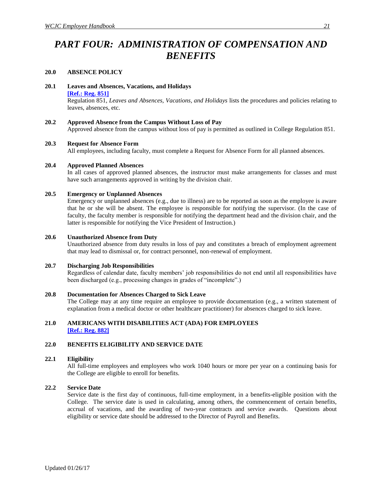## <span id="page-29-0"></span>*PART FOUR: ADMINISTRATION OF COMPENSATION AND BENEFITS*

#### <span id="page-29-1"></span>**20.0 ABSENCE POLICY**

<span id="page-29-3"></span><span id="page-29-2"></span>**20.1 Leaves and Absences, Vacations, and Holidays**

#### **[\[Ref.: Reg. 851\]](http://www.wcjc.edu/About-Us/documents/regs/REG851.pdf)**

Regulation 851, *Leaves and Absences, Vacations, and Holidays* lists the procedures and policies relating to leaves, absences, etc.

#### <span id="page-29-4"></span>**20.2 Approved Absence from the Campus Without Loss of Pay**

Approved absence from the campus without loss of pay is permitted as outlined in College Regulation 851.

#### <span id="page-29-5"></span>**20.3 Request for Absence Form**

All employees, including faculty, must complete a Request for Absence Form for all planned absences.

#### <span id="page-29-6"></span>**20.4 Approved Planned Absences**

In all cases of approved planned absences, the instructor must make arrangements for classes and must have such arrangements approved in writing by the division chair.

#### <span id="page-29-7"></span>**20.5 Emergency or Unplanned Absences**

Emergency or unplanned absences (e.g., due to illness) are to be reported as soon as the employee is aware that he or she will be absent. The employee is responsible for notifying the supervisor. (In the case of faculty, the faculty member is responsible for notifying the department head and the division chair, and the latter is responsible for notifying the Vice President of Instruction.)

#### <span id="page-29-8"></span>**20.6 Unauthorized Absence from Duty**

Unauthorized absence from duty results in loss of pay and constitutes a breach of employment agreement that may lead to dismissal or, for contract personnel, non-renewal of employment.

#### <span id="page-29-9"></span>**20.7 Discharging Job Responsibilities**

Regardless of calendar date, faculty members' job responsibilities do not end until all responsibilities have been discharged (e.g., processing changes in grades of "incomplete".)

#### <span id="page-29-10"></span>**20.8 Documentation for Absences Charged to Sick Leave**

The College may at any time require an employee to provide documentation (e.g., a written statement of explanation from a medical doctor or other healthcare practitioner) for absences charged to sick leave.

#### <span id="page-29-11"></span>**21.0 AMERICANS WITH DISABILITIES ACT (ADA) FOR EMPLOYEES [\[Ref.: Reg. 882\]](http://www.wcjc.edu/About-Us/documents/regs/Reg882-ADA-7-13-04.pdf)**

#### <span id="page-29-12"></span>**22.0 BENEFITS ELIGIBILITY AND SERVICE DATE**

#### <span id="page-29-13"></span>**22.1 Eligibility**

All full-time employees and employees who work 1040 hours or more per year on a continuing basis for the College are eligible to enroll for benefits.

#### <span id="page-29-14"></span>**22.2 Service Date**

Service date is the first day of continuous, full-time employment, in a benefits-eligible position with the College. The service date is used in calculating, among others, the commencement of certain benefits, accrual of vacations, and the awarding of two-year contracts and service awards. Questions about eligibility or service date should be addressed to the Director of Payroll and Benefits.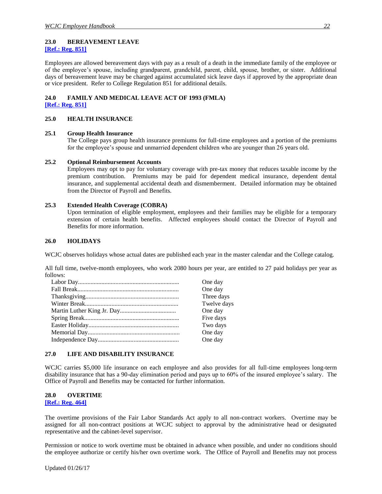#### <span id="page-30-1"></span><span id="page-30-0"></span>**23.0 BEREAVEMENT LEAVE [\[Ref.: Reg. 851\]](http://www.wcjc.edu/About-Us/documents/regs/REG851.pdf)**

Employees are allowed bereavement days with pay as a result of a death in the immediate family of the employee or of the employee's spouse, including grandparent, grandchild, parent, child, spouse, brother, or sister. Additional days of bereavement leave may be charged against accumulated sick leave days if approved by the appropriate dean or vice president. Refer to College Regulation 851 for additional details.

### <span id="page-30-2"></span>**24.0 FAMILY AND MEDICAL LEAVE ACT OF 1993 (FMLA)**

**[\[Ref.: Reg. 851\]](http://www.wcjc.edu/About-Us/documents/regs/REG851.pdf)**

#### <span id="page-30-3"></span>**25.0 HEALTH INSURANCE**

#### <span id="page-30-4"></span>**25.1 Group Health Insurance**

The College pays group health insurance premiums for full-time employees and a portion of the premiums for the employee's spouse and unmarried dependent children who are younger than 26 years old.

#### <span id="page-30-5"></span>**25.2 Optional Reimbursement Accounts**

Employees may opt to pay for voluntary coverage with pre-tax money that reduces taxable income by the premium contribution. Premiums may be paid for dependent medical insurance, dependent dental insurance, and supplemental accidental death and dismemberment. Detailed information may be obtained from the Director of Payroll and Benefits.

#### <span id="page-30-6"></span>**25.3 Extended Health Coverage (COBRA)**

Upon termination of eligible employment, employees and their families may be eligible for a temporary extension of certain health benefits. Affected employees should contact the Director of Payroll and Benefits for more information.

#### <span id="page-30-7"></span>**26.0 HOLIDAYS**

WCJC observes holidays whose actual dates are published each year in the master calendar and the College catalog.

All full time, twelve-month employees, who work 2080 hours per year, are entitled to 27 paid holidays per year as follows:

| One day     |
|-------------|
| One day     |
| Three days  |
| Twelve days |
| One day     |
| Five days   |
| Two days    |
| One day     |
| One day     |

#### <span id="page-30-8"></span>**27.0 LIFE AND DISABILITY INSURANCE**

WCJC carries \$5,000 life insurance on each employee and also provides for all full-time employees long-term disability insurance that has a 90-day elimination period and pays up to 60% of the insured employee's salary. The Office of Payroll and Benefits may be contacted for further information.

#### <span id="page-30-9"></span>**28.0 OVERTIME**

<span id="page-30-10"></span>**[\[Ref.: Reg. 464\]](http://www.wcjc.edu/About-Us/documents/regs/REG464.pdf)**

The overtime provisions of the Fair Labor Standards Act apply to all non-contract workers. Overtime may be assigned for all non-contract positions at WCJC subject to approval by the administrative head or designated representative and the cabinet-level supervisor.

Permission or notice to work overtime must be obtained in advance when possible, and under no conditions should the employee authorize or certify his/her own overtime work. The Office of Payroll and Benefits may not process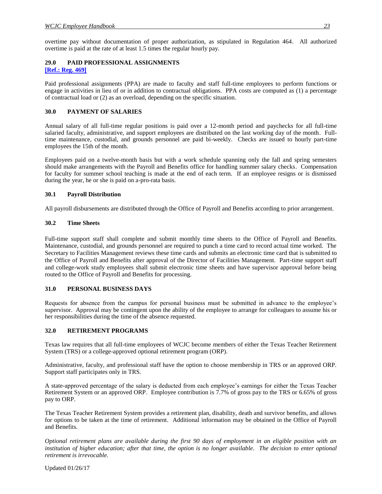overtime pay without documentation of proper authorization, as stipulated in Regulation 464. All authorized overtime is paid at the rate of at least 1.5 times the regular hourly pay.

#### <span id="page-31-0"></span>**29.0 PAID PROFESSIONAL ASSIGNMENTS [\[Ref.: Reg. 469\]](http://www.wcjc.edu/About-Us/documents/regs/REG469.pdf)**

Paid professional assignments (PPA) are made to faculty and staff full-time employees to perform functions or engage in activities in lieu of or in addition to contractual obligations. PPA costs are computed as (1) a percentage of contractual load or (2) as an overload, depending on the specific situation.

#### <span id="page-31-1"></span>**30.0 PAYMENT OF SALARIES**

Annual salary of all full-time regular positions is paid over a 12-month period and paychecks for all full-time salaried faculty, administrative, and support employees are distributed on the last working day of the month. Fulltime maintenance, custodial, and grounds personnel are paid bi-weekly. Checks are issued to hourly part-time employees the 15th of the month.

Employees paid on a twelve-month basis but with a work schedule spanning only the fall and spring semesters should make arrangements with the Payroll and Benefits office for handling summer salary checks. Compensation for faculty for summer school teaching is made at the end of each term. If an employee resigns or is dismissed during the year, he or she is paid on a-pro-rata basis.

#### <span id="page-31-2"></span>**30.1 Payroll Distribution**

All payroll disbursements are distributed through the Office of Payroll and Benefits according to prior arrangement.

#### <span id="page-31-3"></span>**30.2 Time Sheets**

Full-time support staff shall complete and submit monthly time sheets to the Office of Payroll and Benefits. Maintenance, custodial, and grounds personnel are required to punch a time card to record actual time worked. The Secretary to Facilities Management reviews these time cards and submits an electronic time card that is submitted to the Office of Payroll and Benefits after approval of the Director of Facilities Management. Part-time support staff and college-work study employees shall submit electronic time sheets and have supervisor approval before being routed to the Office of Payroll and Benefits for processing.

#### <span id="page-31-4"></span>**31.0 PERSONAL BUSINESS DAYS**

Requests for absence from the campus for personal business must be submitted in advance to the employee's supervisor. Approval may be contingent upon the ability of the employee to arrange for colleagues to assume his or her responsibilities during the time of the absence requested.

#### <span id="page-31-5"></span>**32.0 RETIREMENT PROGRAMS**

Texas law requires that all full-time employees of WCJC become members of either the Texas Teacher Retirement System (TRS) or a college-approved optional retirement program (ORP).

Administrative, faculty, and professional staff have the option to choose membership in TRS or an approved ORP. Support staff participates only in TRS.

A state-approved percentage of the salary is deducted from each employee's earnings for either the Texas Teacher Retirement System or an approved ORP. Employee contribution is 7.7% of gross pay to the TRS or 6.65% of gross pay to ORP.

The Texas Teacher Retirement System provides a retirement plan, disability, death and survivor benefits, and allows for options to be taken at the time of retirement. Additional information may be obtained in the Office of Payroll and Benefits.

*Optional retirement plans are available during the first 90 days of employment in an eligible position with an institution of higher education; after that time, the option is no longer available. The decision to enter optional retirement is irrevocable.*

Updated 01/26/17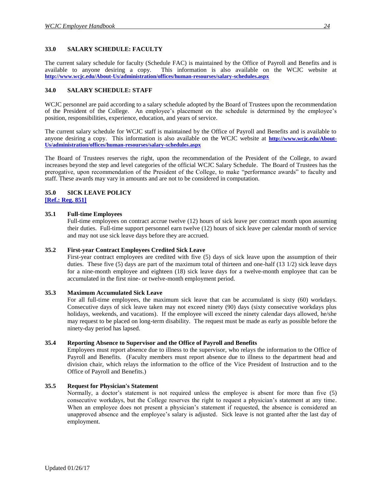#### <span id="page-32-0"></span>**33.0 SALARY SCHEDULE: FACULTY**

The current salary schedule for faculty (Schedule FAC) is maintained by the Office of Payroll and Benefits and is available to anyone desiring a copy. This information is also available on the WCJC website at **<http://www.wcjc.edu/About-Us/administration/offices/human-resourses/salary-schedules.aspx>**

#### <span id="page-32-1"></span>**34.0 SALARY SCHEDULE: STAFF**

WCJC personnel are paid according to a salary schedule adopted by the Board of Trustees upon the recommendation of the President of the College. An employee's placement on the schedule is determined by the employee's position, responsibilities, experience, education, and years of service.

The current salary schedule for WCJC staff is maintained by the Office of Payroll and Benefits and is available to anyone desiring a copy. This information is also available on the WCJC website at **[http://www.wcjc.edu/About-](http://www.wcjc.edu/About-Us/administration/offices/human-resourses/salary-schedules.aspx)[Us/administration/offices/human-resourses/salary-schedules.aspx](http://www.wcjc.edu/About-Us/administration/offices/human-resourses/salary-schedules.aspx)**

The Board of Trustees reserves the right, upon the recommendation of the President of the College, to award increases beyond the step and level categories of the official WCJC Salary Schedule. The Board of Trustees has the prerogative, upon recommendation of the President of the College, to make "performance awards" to faculty and staff. These awards may vary in amounts and are not to be considered in computation.

#### <span id="page-32-2"></span>**35.0 SICK LEAVE POLICY**

<span id="page-32-3"></span>**[\[Ref.: Reg. 851\]](http://www.wcjc.edu/About-Us/documents/regs/REG851.pdf)**

#### <span id="page-32-4"></span>**35.1 Full-time Employees**

Full-time employees on contract accrue twelve (12) hours of sick leave per contract month upon assuming their duties. Full-time support personnel earn twelve (12) hours of sick leave per calendar month of service and may not use sick leave days before they are accrued.

#### <span id="page-32-5"></span>**35.2 First-year Contract Employees Credited Sick Leave**

First-year contract employees are credited with five (5) days of sick leave upon the assumption of their duties. These five (5) days are part of the maximum total of thirteen and one-half (13 1/2) sick leave days for a nine-month employee and eighteen (18) sick leave days for a twelve-month employee that can be accumulated in the first nine- or twelve-month employment period.

#### <span id="page-32-6"></span>**35.3 Maximum Accumulated Sick Leave**

For all full-time employees, the maximum sick leave that can be accumulated is sixty (60) workdays. Consecutive days of sick leave taken may not exceed ninety (90) days (sixty consecutive workdays plus holidays, weekends, and vacations). If the employee will exceed the ninety calendar days allowed, he/she may request to be placed on long-term disability. The request must be made as early as possible before the ninety-day period has lapsed.

#### <span id="page-32-7"></span>**35.4 Reporting Absence to Supervisor and the Office of Payroll and Benefits**

Employees must report absence due to illness to the supervisor, who relays the information to the Office of Payroll and Benefits. (Faculty members must report absence due to illness to the department head and division chair, which relays the information to the office of the Vice President of Instruction and to the Office of Payroll and Benefits.)

#### <span id="page-32-8"></span>**35.5 Request for Physician's Statement**

Normally, a doctor's statement is not required unless the employee is absent for more than five (5) consecutive workdays, but the College reserves the right to request a physician's statement at any time. When an employee does not present a physician's statement if requested, the absence is considered an unapproved absence and the employee's salary is adjusted. Sick leave is not granted after the last day of employment.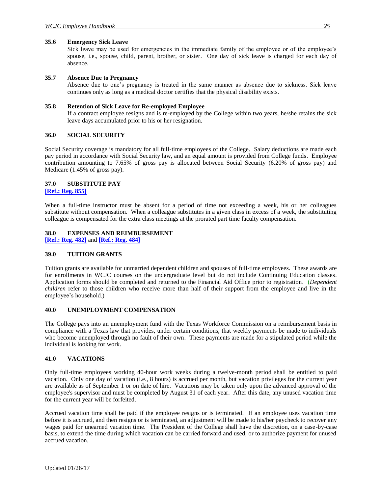#### <span id="page-33-0"></span>**35.6 Emergency Sick Leave**

Sick leave may be used for emergencies in the immediate family of the employee or of the employee's spouse, i.e., spouse, child, parent, brother, or sister. One day of sick leave is charged for each day of absence.

#### <span id="page-33-1"></span>**35.7 Absence Due to Pregnancy**

Absence due to one's pregnancy is treated in the same manner as absence due to sickness. Sick leave continues only as long as a medical doctor certifies that the physical disability exists.

#### <span id="page-33-2"></span>**35.8 Retention of Sick Leave for Re-employed Employee**

If a contract employee resigns and is re-employed by the College within two years, he/she retains the sick leave days accumulated prior to his or her resignation.

#### <span id="page-33-3"></span>**36.0 SOCIAL SECURITY**

Social Security coverage is mandatory for all full-time employees of the College. Salary deductions are made each pay period in accordance with Social Security law, and an equal amount is provided from College funds. Employee contribution amounting to 7.65% of gross pay is allocated between Social Security (6.20% of gross pay) and Medicare (1.45% of gross pay).

#### <span id="page-33-4"></span>**37.0 SUBSTITUTE PAY**

<span id="page-33-5"></span>**[\[Ref.: Reg. 855\]](http://www.wcjc.edu/About-Us/documents/regs/REG855.pdf)**

When a full-time instructor must be absent for a period of time not exceeding a week, his or her colleagues substitute without compensation. When a colleague substitutes in a given class in excess of a week, the substituting colleague is compensated for the extra class meetings at the prorated part time faculty compensation.

#### <span id="page-33-6"></span>**38.0 EXPENSES AND REIMBURSEMENT**

**[\[Ref.: Reg. 482\]](http://www.wcjc.edu/About-Us/documents/regs/REG482.pdf)** and **[\[Ref.: Reg. 484\]](http://www.wcjc.edu/About-Us/documents/regs/REG484.pdf)**

#### <span id="page-33-7"></span>**39.0 TUITION GRANTS**

Tuition grants are available for unmarried dependent children and spouses of full-time employees. These awards are for enrollments in WCJC courses on the undergraduate level but do not include Continuing Education classes. Application forms should be completed and returned to the Financial Aid Office prior to registration. (*Dependent children* refer to those children who receive more than half of their support from the employee and live in the employee's household.)

#### <span id="page-33-8"></span>**40.0 UNEMPLOYMENT COMPENSATION**

The College pays into an unemployment fund with the Texas Workforce Commission on a reimbursement basis in compliance with a Texas law that provides, under certain conditions, that weekly payments be made to individuals who become unemployed through no fault of their own. These payments are made for a stipulated period while the individual is looking for work.

#### <span id="page-33-9"></span>**41.0 VACATIONS**

Only full-time employees working 40-hour work weeks during a twelve-month period shall be entitled to paid vacation. Only one day of vacation (i.e., 8 hours) is accrued per month, but vacation privileges for the current year are available as of September 1 or on date of hire. Vacations may be taken only upon the advanced approval of the employee's supervisor and must be completed by August 31 of each year. After this date, any unused vacation time for the current year will be forfeited.

Accrued vacation time shall be paid if the employee resigns or is terminated. If an employee uses vacation time before it is accrued, and then resigns or is terminated, an adjustment will be made to his/her paycheck to recover any wages paid for unearned vacation time. The President of the College shall have the discretion, on a case-by-case basis, to extend the time during which vacation can be carried forward and used, or to authorize payment for unused accrued vacation.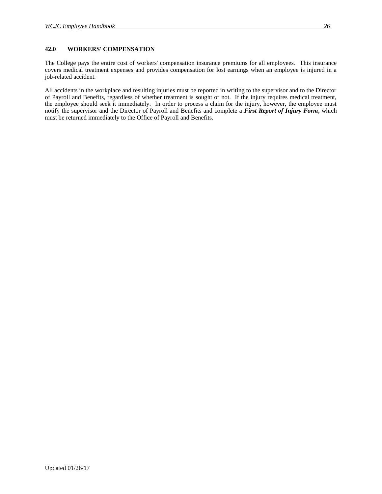#### <span id="page-34-0"></span>**42.0 WORKERS' COMPENSATION**

The College pays the entire cost of workers' compensation insurance premiums for all employees. This insurance covers medical treatment expenses and provides compensation for lost earnings when an employee is injured in a job-related accident.

All accidents in the workplace and resulting injuries must be reported in writing to the supervisor and to the Director of Payroll and Benefits, regardless of whether treatment is sought or not. If the injury requires medical treatment, the employee should seek it immediately. In order to process a claim for the injury, however, the employee must notify the supervisor and the Director of Payroll and Benefits and complete a *First Report of Injury Form*, which must be returned immediately to the Office of Payroll and Benefits.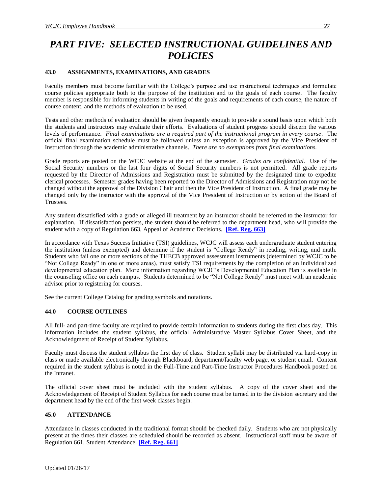## <span id="page-35-0"></span>*PART FIVE: SELECTED INSTRUCTIONAL GUIDELINES AND POLICIES*

#### <span id="page-35-1"></span>**43.0 ASSIGNMENTS, EXAMINATIONS, AND GRADES**

Faculty members must become familiar with the College's purpose and use instructional techniques and formulate course policies appropriate both to the purpose of the institution and to the goals of each course. The faculty member is responsible for informing students in writing of the goals and requirements of each course, the nature of course content, and the methods of evaluation to be used.

Tests and other methods of evaluation should be given frequently enough to provide a sound basis upon which both the students and instructors may evaluate their efforts. Evaluations of student progress should discern the various levels of performance. *Final examinations are a required part of the instructional program in every course.* The official final examination schedule must be followed unless an exception is approved by the Vice President of Instruction through the academic administrative channels. *There are no exemptions from final examinations.*

Grade reports are posted on the WCJC website at the end of the semester. *Grades are confidential.* Use of the Social Security numbers or the last four digits of Social Security numbers is not permitted. All grade reports requested by the Director of Admissions and Registration must be submitted by the designated time to expedite clerical processes. Semester grades having been reported to the Director of Admissions and Registration may not be changed without the approval of the Division Chair and then the Vice President of Instruction. A final grade may be changed only by the instructor with the approval of the Vice President of Instruction or by action of the Board of Trustees.

Any student dissatisfied with a grade or alleged ill treatment by an instructor should be referred to the instructor for explanation. If dissatisfaction persists, the student should be referred to the department head, who will provide the student with a copy of Regulation 663, Appeal of Academic Decisions. **[\[Ref. Reg. 663\]](http://www.wcjc.edu/About-Us/documents/regs/REG663.pdf)**

In accordance with Texas Success Initiative (TSI) guidelines, WCJC will assess each undergraduate student entering the institution (unless exempted) and determine if the student is "College Ready" in reading, writing, and math. Students who fail one or more sections of the THECB approved assessment instruments (determined by WCJC to be "Not College Ready" in one or more areas), must satisfy TSI requirements by the completion of an individualized developmental education plan. More information regarding WCJC's Developmental Education Plan is available in the counseling office on each campus. Students determined to be "Not College Ready" must meet with an academic advisor prior to registering for courses.

See the current College Catalog for grading symbols and notations.

#### <span id="page-35-2"></span>**44.0 COURSE OUTLINES**

All full- and part-time faculty are required to provide certain information to students during the first class day. This information includes the student syllabus, the official Administrative Master Syllabus Cover Sheet, and the Acknowledgment of Receipt of Student Syllabus.

Faculty must discuss the student syllabus the first day of class. Student syllabi may be distributed via hard-copy in class or made available electronically through Blackboard, department/faculty web page, or student email. Content required in the student syllabus is noted in the Full-Time and Part-Time Instructor Procedures Handbook posted on the Intranet.

The official cover sheet must be included with the student syllabus. A copy of the cover sheet and the Acknowledgement of Receipt of Student Syllabus for each course must be turned in to the division secretary and the department head by the end of the first week classes begin.

#### <span id="page-35-3"></span>**45.0 ATTENDANCE**

Attendance in classes conducted in the traditional format should be checked daily. Students who are not physically present at the times their classes are scheduled should be recorded as absent. Instructional staff must be aware of Regulation 661, Student Attendance. **[\[Ref. Reg. 661\]](http://www.wcjc.edu/About-Us/documents/regs/Reg661.pdf)**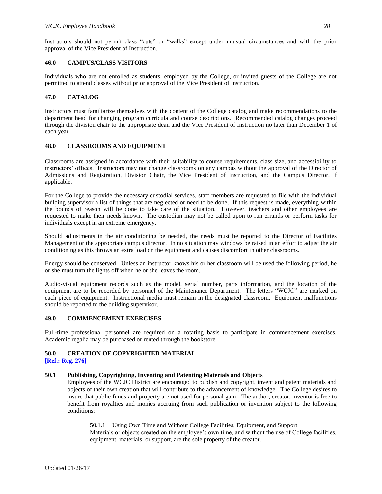Instructors should not permit class "cuts" or "walks" except under unusual circumstances and with the prior approval of the Vice President of Instruction.

#### <span id="page-36-0"></span>**46.0 CAMPUS/CLASS VISITORS**

Individuals who are not enrolled as students, employed by the College, or invited guests of the College are not permitted to attend classes without prior approval of the Vice President of Instruction.

#### <span id="page-36-1"></span>**47.0 CATALOG**

Instructors must familiarize themselves with the content of the College catalog and make recommendations to the department head for changing program curricula and course descriptions. Recommended catalog changes proceed through the division chair to the appropriate dean and the Vice President of Instruction no later than December 1 of each year.

#### <span id="page-36-2"></span>**48.0 CLASSROOMS AND EQUIPMENT**

Classrooms are assigned in accordance with their suitability to course requirements, class size, and accessibility to instructors' offices. Instructors may not change classrooms on any campus without the approval of the Director of Admissions and Registration, Division Chair, the Vice President of Instruction, and the Campus Director, if applicable.

For the College to provide the necessary custodial services, staff members are requested to file with the individual building supervisor a list of things that are neglected or need to be done. If this request is made, everything within the bounds of reason will be done to take care of the situation. However, teachers and other employees are requested to make their needs known. The custodian may not be called upon to run errands or perform tasks for individuals except in an extreme emergency.

Should adjustments in the air conditioning be needed, the needs must be reported to the Director of Facilities Management or the appropriate campus director. In no situation may windows be raised in an effort to adjust the air conditioning as this throws an extra load on the equipment and causes discomfort in other classrooms.

Energy should be conserved. Unless an instructor knows his or her classroom will be used the following period, he or she must turn the lights off when he or she leaves the room.

Audio-visual equipment records such as the model, serial number, parts information, and the location of the equipment are to be recorded by personnel of the Maintenance Department. The letters "WCJC" are marked on each piece of equipment. Instructional media must remain in the designated classroom. Equipment malfunctions should be reported to the building supervisor.

#### <span id="page-36-3"></span>**49.0 COMMENCEMENT EXERCISES**

Full-time professional personnel are required on a rotating basis to participate in commencement exercises. Academic regalia may be purchased or rented through the bookstore.

#### <span id="page-36-4"></span>**50.0 CREATION OF COPYRIGHTED MATERIAL**

#### **[\[Ref.: Reg. 276\]](http://www.wcjc.edu/About-Us/documents/regs/REG276.pdf)**

#### <span id="page-36-5"></span>**50.1 Publishing, Copyrighting, Inventing and Patenting Materials and Objects**

Employees of the WCJC District are encouraged to publish and copyright, invent and patent materials and objects of their own creation that will contribute to the advancement of knowledge. The College desires to insure that public funds and property are not used for personal gain. The author, creator, inventor is free to benefit from royalties and monies accruing from such publication or invention subject to the following conditions:

<span id="page-36-6"></span>50.1.1 Using Own Time and Without College Facilities, Equipment, and Support Materials or objects created on the employee's own time, and without the use of College facilities, equipment, materials, or support, are the sole property of the creator.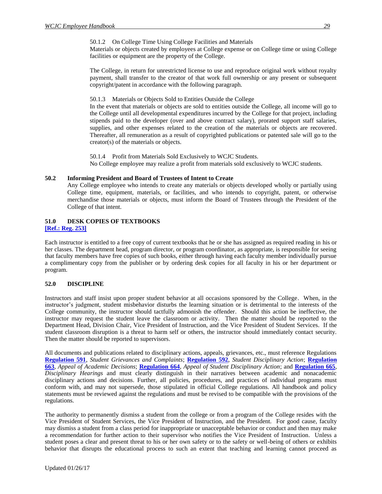50.1.2 On College Time Using College Facilities and Materials

<span id="page-37-0"></span>Materials or objects created by employees at College expense or on College time or using College facilities or equipment are the property of the College.

The College, in return for unrestricted license to use and reproduce original work without royalty payment, shall transfer to the creator of that work full ownership or any present or subsequent copyright/patent in accordance with the following paragraph.

<span id="page-37-1"></span>50.1.3 Materials or Objects Sold to Entities Outside the College

In the event that materials or objects are sold to entities outside the College, all income will go to the College until all developmental expenditures incurred by the College for that project, including stipends paid to the developer (over and above contract salary), prorated support staff salaries, supplies, and other expenses related to the creation of the materials or objects are recovered. Thereafter, all remuneration as a result of copyrighted publications or patented sale will go to the creator(s) of the materials or objects.

50.1.4 Profit from Materials Sold Exclusively to WCJC Students. No College employee may realize a profit from materials sold exclusively to WCJC students.

#### <span id="page-37-3"></span><span id="page-37-2"></span>**50.2 Informing President and Board of Trustees of Intent to Create**

Any College employee who intends to create any materials or objects developed wholly or partially using College time, equipment, materials, or facilities, and who intends to copyright, patent, or otherwise merchandise those materials or objects, must inform the Board of Trustees through the President of the College of that intent.

## <span id="page-37-4"></span>**51.0 DESK COPIES OF TEXTBOOKS**

#### <span id="page-37-5"></span>**[\[Ref.: Reg. 253\]](http://www.wcjc.edu/About-Us/documents/regs/REG253.pdf)**

Each instructor is entitled to a free copy of current textbooks that he or she has assigned as required reading in his or her classes. The department head, program director, or program coordinator, as appropriate, is responsible for seeing that faculty members have free copies of such books, either through having each faculty member individually pursue a complimentary copy from the publisher or by ordering desk copies for all faculty in his or her department or program.

#### <span id="page-37-6"></span>**52.0 DISCIPLINE**

Instructors and staff insist upon proper student behavior at all occasions sponsored by the College. When, in the instructor's judgment, student misbehavior disturbs the learning situation or is detrimental to the interests of the College community, the instructor should tactfully admonish the offender. Should this action be ineffective, the instructor may request the student leave the classroom or activity. Then the matter should be reported to the Department Head, Division Chair, Vice President of Instruction, and the Vice President of Student Services. If the student classroom disruption is a threat to harm self or others, the instructor should immediately contact security. Then the matter should be reported to supervisors.

All documents and publications related to disciplinary actions, appeals, grievances, etc., must reference Regulations **[Regulation 591](http://www.wcjc.edu/About-Us/documents/regs/REG591.pdf)**, *Student Grievances and Complaints*; **[Regulation 592](http://www.wcjc.edu/About-Us/documents/regs/REG592.pdf)**, *Student Disciplinary Action*; **[Regulation](http://www.wcjc.edu/About-Us/documents/regs/REG663.pdf)  [663](http://www.wcjc.edu/About-Us/documents/regs/REG663.pdf)**, *Appeal of Academic Decisions*; **[Regulation 664](http://www.wcjc.edu/About-Us/documents/regs/REG664.pdf)**, *Appeal of Student Disciplinary Action*; and **[Regulation 665](http://www.wcjc.edu/About-Us/documents/regs/REG665.pdf)**, *Disciplinary Hearings* and must clearly distinguish in their narratives between academic and nonacademic disciplinary actions and decisions. Further, all policies, procedures, and practices of individual programs must conform with, and may not supersede, those stipulated in official College regulations. All handbook and policy statements must be reviewed against the regulations and must be revised to be compatible with the provisions of the regulations.

The authority to permanently dismiss a student from the college or from a program of the College resides with the Vice President of Student Services, the Vice President of Instruction, and the President. For good cause, faculty may dismiss a student from a class period for inappropriate or unacceptable behavior or conduct and then may make a recommendation for further action to their supervisor who notifies the Vice President of Instruction. Unless a student poses a clear and present threat to his or her own safety or to the safety or well-being of others or exhibits behavior that disrupts the educational process to such an extent that teaching and learning cannot proceed as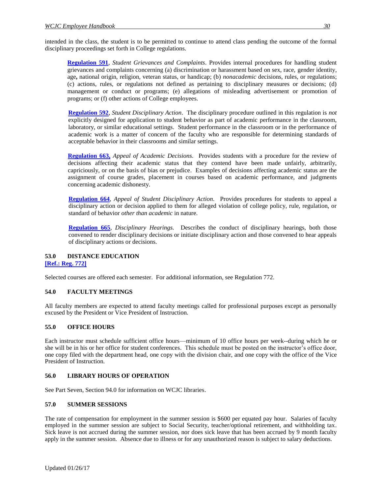intended in the class, the student is to be permitted to continue to attend class pending the outcome of the formal disciplinary proceedings set forth in College regulations.

**[Regulation 591](http://www.wcjc.edu/About-Us/documents/regs/REG591.pdf)**, *Student Grievances and Complaints*. Provides internal procedures for handling student grievances and complaints concerning (a) discrimination or harassment based on sex, race, gender identity, age**,** national origin, religion, veteran status, or handicap; (b) *nonacademic* decisions, rules, or regulations; (c) actions, rules, or regulations not defined as pertaining to disciplinary measures or decisions; (d) management or conduct or programs; (e) allegations of misleading advertisement or promotion of programs; or (f) other actions of College employees.

**[Regulation 592](http://www.wcjc.edu/About-Us/documents/regs/REG592.pdf)**, *Student Disciplinary Action*.The disciplinary procedure outlined in this regulation is *not*  explicitly designed for application to student behavior as part of academic performance in the classroom, laboratory, or similar educational settings. Student performance in the classroom or in the performance of academic work is a matter of concern of the faculty who are responsible for determining standards of acceptable behavior in their classrooms and similar settings.

**[Regulation 663,](http://www.wcjc.edu/About-Us/documents/regs/REG663.pdf)** *Appeal of Academic Decisions.* Provides students with a procedure for the review of decisions affecting their academic status that they contend have been made unfairly, arbitrarily, capriciously, or on the basis of bias or prejudice. Examples of decisions affecting academic status are the assignment of course grades, placement in courses based on academic performance, and judgments concerning academic dishonesty.

**[Regulation 664](http://www.wcjc.edu/About-Us/documents/regs/REG664.pdf)**, *Appeal of Student Disciplinary Action.* Provides procedures for students to appeal a disciplinary action or decision applied to them for alleged violation of college policy, rule, regulation, or standard of behavior *other than academic* in nature.

**[Regulation 665](http://www.wcjc.edu/About-Us/documents/regs/REG665.pdf)**, *Disciplinary Hearings.* Describes the conduct of disciplinary hearings, both those convened to render disciplinary decisions or initiate disciplinary action and those convened to hear appeals of disciplinary actions or decisions.

## <span id="page-38-0"></span>**53.0 DISTANCE EDUCATION**

**[\[Ref.: Reg. 772\]](http://www.wcjc.edu/About-Us/documents/regs/Reg772.pdf)**

Selected courses are offered each semester. For additional information, see Regulation 772.

#### <span id="page-38-1"></span>**54.0 FACULTY MEETINGS**

All faculty members are expected to attend faculty meetings called for professional purposes except as personally excused by the President or Vice President of Instruction.

#### <span id="page-38-2"></span>**55.0 OFFICE HOURS**

Each instructor must schedule sufficient office hours—minimum of 10 office hours per week--during which he or she will be in his or her office for student conferences. This schedule must be posted on the instructor's office door, one copy filed with the department head, one copy with the division chair, and one copy with the office of the Vice President of Instruction.

#### <span id="page-38-3"></span>**56.0 LIBRARY HOURS OF OPERATION**

See Part Seven, Section 94.0 for information on WCJC libraries.

#### <span id="page-38-4"></span>**57.0 SUMMER SESSIONS**

The rate of compensation for employment in the summer session is \$600 per equated pay hour. Salaries of faculty employed in the summer session are subject to Social Security, teacher/optional retirement, and withholding tax. Sick leave is not accrued during the summer session, nor does sick leave that has been accrued by 9 month faculty apply in the summer session. Absence due to illness or for any unauthorized reason is subject to salary deductions.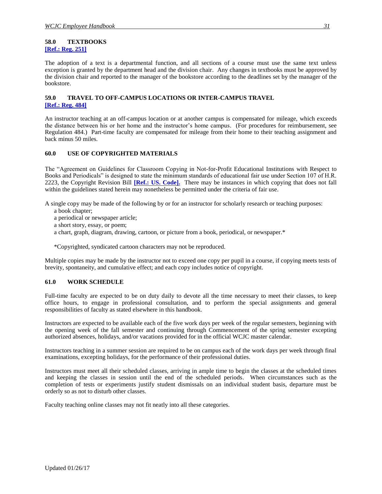#### <span id="page-39-1"></span><span id="page-39-0"></span>**58.0 TEXTBOOKS [\[Ref.: Reg. 251\]](http://www.wcjc.edu/About-Us/documents/regs/REG251.pdf)**

The adoption of a text is a departmental function, and all sections of a course must use the same text unless exception is granted by the department head and the division chair. Any changes in textbooks must be approved by the division chair and reported to the manager of the bookstore according to the deadlines set by the manager of the bookstore.

#### <span id="page-39-3"></span><span id="page-39-2"></span>**59.0 TRAVEL TO OFF-CAMPUS LOCATIONS OR INTER-CAMPUS TRAVEL [\[Ref.: Reg. 484\]](http://www.wcjc.edu/About-Us/documents/regs/REG484.pdf)**

An instructor teaching at an off-campus location or at another campus is compensated for mileage, which exceeds the distance between his or her home and the instructor's home campus. (For procedures for reimbursement, see Regulation 484.) Part-time faculty are compensated for mileage from their home to their teaching assignment and back minus 50 miles.

#### <span id="page-39-4"></span>**60.0 USE OF COPYRIGHTED MATERIALS**

The "Agreement on Guidelines for Classroom Copying in Not-for-Profit Educational Institutions with Respect to Books and Periodicals" is designed to state the minimum standards of educational fair use under Section 107 of H.R. 2223, the Copyright Revision Bill **[\[Ref.: US. Code\].](http://www.copyright.gov/title17/92chap1.html#107)** There may be instances in which copying that does not fall within the guidelines stated herein may nonetheless be permitted under the criteria of fair use.

A single copy may be made of the following by or for an instructor for scholarly research or teaching purposes:

- a book chapter;
- a periodical or newspaper article;
- a short story, essay, or poem;
- a chart, graph, diagram, drawing, cartoon, or picture from a book, periodical, or newspaper.\*

\*Copyrighted, syndicated cartoon characters may not be reproduced.

Multiple copies may be made by the instructor not to exceed one copy per pupil in a course, if copying meets tests of brevity, spontaneity, and cumulative effect; and each copy includes notice of copyright.

#### <span id="page-39-5"></span>**61.0 WORK SCHEDULE**

Full-time faculty are expected to be on duty daily to devote all the time necessary to meet their classes, to keep office hours, to engage in professional consultation, and to perform the special assignments and general responsibilities of faculty as stated elsewhere in this handbook.

Instructors are expected to be available each of the five work days per week of the regular semesters, beginning with the opening week of the fall semester and continuing through Commencement of the spring semester excepting authorized absences, holidays, and/or vacations provided for in the official WCJC master calendar.

Instructors teaching in a summer session are required to be on campus each of the work days per week through final examinations, excepting holidays, for the performance of their professional duties.

Instructors must meet all their scheduled classes, arriving in ample time to begin the classes at the scheduled times and keeping the classes in session until the end of the scheduled periods. When circumstances such as the completion of tests or experiments justify student dismissals on an individual student basis, departure must be orderly so as not to disturb other classes.

Faculty teaching online classes may not fit neatly into all these categories.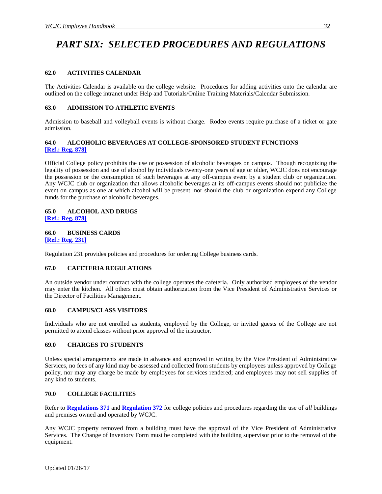## <span id="page-40-0"></span>*PART SIX: SELECTED PROCEDURES AND REGULATIONS*

#### <span id="page-40-1"></span>**62.0 ACTIVITIES CALENDAR**

The Activities Calendar is available on the college website. Procedures for adding activities onto the calendar are outlined on the college intranet under Help and Tutorials/Online Training Materials/Calendar Submission.

#### <span id="page-40-2"></span>**63.0 ADMISSION TO ATHLETIC EVENTS**

Admission to baseball and volleyball events is without charge. Rodeo events require purchase of a ticket or gate admission.

#### <span id="page-40-3"></span>**64.0 ALCOHOLIC BEVERAGES AT COLLEGE-SPONSORED STUDENT FUNCTIONS [\[Ref.: Reg. 878\]](http://www.wcjc.edu/About-Us/documents/regs/Reg-878-Drug-Free-Workplace-Drug-and-Alcohol-Abuse-Policy-FINAL-PER-BOARD-APPROVAL-1-15-08-2.pdf)**

Official College policy prohibits the use or possession of alcoholic beverages on campus. Though recognizing the legality of possession and use of alcohol by individuals twenty-one years of age or older, WCJC does not encourage the possession or the consumption of such beverages at any off-campus event by a student club or organization. Any WCJC club or organization that allows alcoholic beverages at its off-campus events should not publicize the event on campus as one at which alcohol will be present, nor should the club or organization expend any College funds for the purchase of alcoholic beverages.

#### <span id="page-40-4"></span>**65.0 ALCOHOL AND DRUGS [\[Ref.: Reg. 878\]](http://www.wcjc.edu/About-Us/documents/regs/Reg-878-Drug-Free-Workplace-Drug-and-Alcohol-Abuse-Policy-FINAL-PER-BOARD-APPROVAL-1-15-08-2.pdf)**

#### <span id="page-40-6"></span><span id="page-40-5"></span>**66.0 BUSINESS CARDS [\[Ref.: Reg. 231\]](http://www.wcjc.edu/About-Us/documents/regs/REG231.pdf)**

Regulation 231 provides policies and procedures for ordering College business cards.

#### <span id="page-40-7"></span>**67.0 CAFETERIA REGULATIONS**

An outside vendor under contract with the college operates the cafeteria. Only authorized employees of the vendor may enter the kitchen. All others must obtain authorization from the Vice President of Administrative Services or the Director of Facilities Management.

#### <span id="page-40-8"></span>**68.0 CAMPUS/CLASS VISITORS**

Individuals who are not enrolled as students, employed by the College, or invited guests of the College are not permitted to attend classes without prior approval of the instructor.

#### <span id="page-40-9"></span>**69.0 CHARGES TO STUDENTS**

Unless special arrangements are made in advance and approved in writing by the Vice President of Administrative Services, no fees of any kind may be assessed and collected from students by employees unless approved by College policy, nor may any charge be made by employees for services rendered; and employees may not sell supplies of any kind to students.

#### <span id="page-40-10"></span>**70.0 COLLEGE FACILITIES**

Refer to **[Regulations 371](http://www.wcjc.edu/About-Us/documents/regs/REG371.pdf)** and **[Regulation 372](http://www.wcjc.edu/About-Us/documents/regs/REG372.pdf)** for college policies and procedures regarding the use of *all* buildings and premises owned and operated by WCJC.

Any WCJC property removed from a building must have the approval of the Vice President of Administrative Services. The Change of Inventory Form must be completed with the building supervisor prior to the removal of the equipment.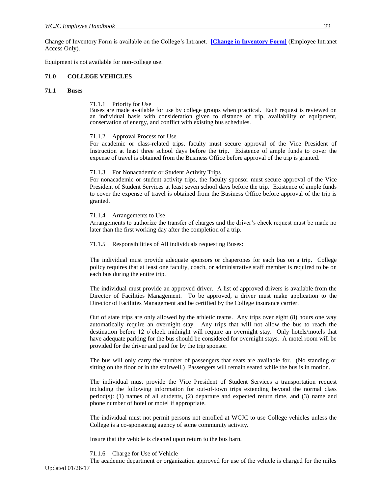Change of Inventory Form is available on the College's Intranet. **[\[Change in Inventory Form\]](http://www3/intranet/Downloads/College%20Forms/documents/Maintenance_Change%20of%20Inventory%20Form.pdf)** (Employee Intranet Access Only).

Equipment is not available for non-college use.

#### <span id="page-41-0"></span>**71.0 COLLEGE VEHICLES**

#### <span id="page-41-3"></span><span id="page-41-2"></span><span id="page-41-1"></span>**71.1 Buses**

#### 71.1.1 Priority for Use

Buses are made available for use by college groups when practical. Each request is reviewed on an individual basis with consideration given to distance of trip, availability of equipment, conservation of energy, and conflict with existing bus schedules.

#### 71.1.2 Approval Process for Use

For academic or class-related trips, faculty must secure approval of the Vice President of Instruction at least three school days before the trip. Existence of ample funds to cover the expense of travel is obtained from the Business Office before approval of the trip is granted.

#### <span id="page-41-4"></span>71.1.3 For Nonacademic or Student Activity Trips

For nonacademic or student activity trips, the faculty sponsor must secure approval of the Vice President of Student Services at least seven school days before the trip. Existence of ample funds to cover the expense of travel is obtained from the Business Office before approval of the trip is granted.

#### <span id="page-41-5"></span>71.1.4 Arrangements to Use

Arrangements to authorize the transfer of charges and the driver's check request must be made no later than the first working day after the completion of a trip.

<span id="page-41-6"></span>71.1.5 Responsibilities of All individuals requesting Buses:

The individual must provide adequate sponsors or chaperones for each bus on a trip. College policy requires that at least one faculty, coach, or administrative staff member is required to be on each bus during the entire trip.

The individual must provide an approved driver. A list of approved drivers is available from the Director of Facilities Management. To be approved, a driver must make application to the Director of Facilities Management and be certified by the College insurance carrier.

Out of state trips are only allowed by the athletic teams. Any trips over eight (8) hours one way automatically require an overnight stay. Any trips that will not allow the bus to reach the destination before 12 o'clock midnight will require an overnight stay. Only hotels/motels that have adequate parking for the bus should be considered for overnight stays. A motel room will be provided for the driver and paid for by the trip sponsor.

The bus will only carry the number of passengers that seats are available for. (No standing or sitting on the floor or in the stairwell.) Passengers will remain seated while the bus is in motion.

The individual must provide the Vice President of Student Services a transportation request including the following information for out-of-town trips extending beyond the normal class period(s): (1) names of all students, (2) departure and expected return time, and (3) name and phone number of hotel or motel if appropriate.

The individual must not permit persons not enrolled at WCJC to use College vehicles unless the College is a co-sponsoring agency of some community activity.

Insure that the vehicle is cleaned upon return to the bus barn.

71.1.6 Charge for Use of Vehicle

<span id="page-41-7"></span>Updated 01/26/17 The academic department or organization approved for use of the vehicle is charged for the miles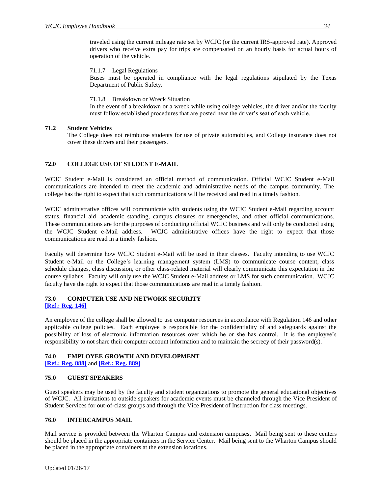traveled using the current mileage rate set by WCJC (or the current IRS-approved rate). Approved drivers who receive extra pay for trips are compensated on an hourly basis for actual hours of operation of the vehicle.

#### <span id="page-42-0"></span>71.1.7 Legal Regulations

Buses must be operated in compliance with the legal regulations stipulated by the Texas Department of Public Safety.

#### 71.1.8 Breakdown or Wreck Situation

In the event of a breakdown or a wreck while using college vehicles, the driver and/or the faculty must follow established procedures that are posted near the driver's seat of each vehicle.

#### <span id="page-42-2"></span><span id="page-42-1"></span>**71.2 Student Vehicles**

The College does not reimburse students for use of private automobiles, and College insurance does not cover these drivers and their passengers.

#### <span id="page-42-3"></span>**72.0 COLLEGE USE OF STUDENT E-MAIL**

WCJC Student e-Mail is considered an official method of communication. Official WCJC Student e-Mail communications are intended to meet the academic and administrative needs of the campus community. The college has the right to expect that such communications will be received and read in a timely fashion.

WCJC administrative offices will communicate with students using the WCJC Student e-Mail regarding account status, financial aid, academic standing, campus closures or emergencies, and other official communications. These communications are for the purposes of conducting official WCJC business and will only be conducted using the WCJC Student e-Mail address. WCJC administrative offices have the right to expect that those communications are read in a timely fashion.

Faculty will determine how WCJC Student e-Mail will be used in their classes. Faculty intending to use WCJC Student e-Mail or the College's learning management system (LMS) to communicate course content, class schedule changes, class discussion, or other class-related material will clearly communicate this expectation in the course syllabus. Faculty will only use the WCJC Student e-Mail address or LMS for such communication. WCJC faculty have the right to expect that those communications are read in a timely fashion.

#### <span id="page-42-4"></span>**73.0 COMPUTER USE AND NETWORK SECURITY [\[Ref.: Reg. 146\]](http://www.wcjc.edu/About-Us/documents/regs/REG146.pdf)**

An employee of the college shall be allowed to use computer resources in accordance with Regulation 146 and other applicable college policies. Each employee is responsible for the confidentiality of and safeguards against the possibility of loss of electronic information resources over which he or she has control. It is the employee's responsibility to not share their computer account information and to maintain the secrecy of their password(s).

#### <span id="page-42-5"></span>**74.0 EMPLOYEE GROWTH AND DEVELOPMENT**

**[\[Ref.: Reg. 888\]](http://www.wcjc.edu/About-Us/documents/regs/REG888.pdf)** and **[\[Ref.: Reg. 889\]](http://www.wcjc.edu/About-Us/documents/regs/REG889.pdf)**

#### <span id="page-42-6"></span>**75.0 GUEST SPEAKERS**

Guest speakers may be used by the faculty and student organizations to promote the general educational objectives of WCJC. All invitations to outside speakers for academic events must be channeled through the Vice President of Student Services for out-of-class groups and through the Vice President of Instruction for class meetings.

#### <span id="page-42-7"></span>**76.0 INTERCAMPUS MAIL**

Mail service is provided between the Wharton Campus and extension campuses. Mail being sent to these centers should be placed in the appropriate containers in the Service Center. Mail being sent to the Wharton Campus should be placed in the appropriate containers at the extension locations.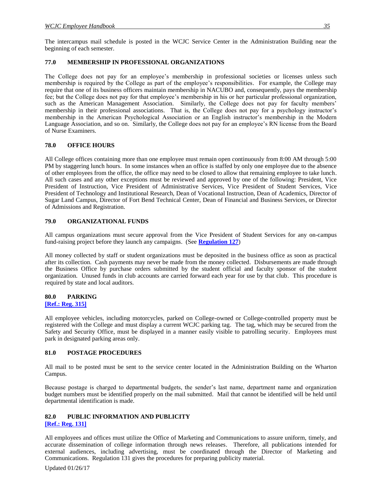The intercampus mail schedule is posted in the WCJC Service Center in the Administration Building near the beginning of each semester.

#### <span id="page-43-0"></span>**77.0 MEMBERSHIP IN PROFESSIONAL ORGANIZATIONS**

The College does not pay for an employee's membership in professional societies or licenses unless such membership is required by the College as part of the employee's responsibilities. For example, the College may require that one of its business officers maintain membership in NACUBO and, consequently, pays the membership fee; but the College does not pay for that employee's membership in his or her particular professional organization, such as the American Management Association. Similarly, the College does not pay for faculty members' membership in their professional associations. That is, the College does not pay for a psychology instructor's membership in the American Psychological Association or an English instructor's membership in the Modern Language Association, and so on. Similarly, the College does not pay for an employee's RN license from the Board of Nurse Examiners.

#### <span id="page-43-1"></span>**78.0 OFFICE HOURS**

All College offices containing more than one employee must remain open continuously from 8:00 AM through 5:00 PM by staggering lunch hours.In some instances when an office is staffed by only one employee due to the absence of other employees from the office, the office may need to be closed to allow that remaining employee to take lunch. All such cases and any other exceptions must be reviewed and approved by one of the following: President, Vice President of Instruction, Vice President of Administrative Services, Vice President of Student Services, Vice President of Technology and Institutional Research, Dean of Vocational Instruction, Dean of Academics, Director of Sugar Land Campus, Director of Fort Bend Technical Center, Dean of Financial and Business Services, or Director of Admissions and Registration.

#### <span id="page-43-2"></span>**79.0 ORGANIZATIONAL FUNDS**

All campus organizations must secure approval from the Vice President of Student Services for any on-campus fund-raising project before they launch any campaigns. (See **[Regulation 127](http://www.wcjc.edu/About-Us/documents/regs/REG127.pdf)**)

All money collected by staff or student organizations must be deposited in the business office as soon as practical after its collection. Cash payments may never be made from the money collected. Disbursements are made through the Business Office by purchase orders submitted by the student official and faculty sponsor of the student organization. Unused funds in club accounts are carried forward each year for use by that club. This procedure is required by state and local auditors.

#### <span id="page-43-4"></span><span id="page-43-3"></span>**80.0 PARKING [\[Ref.: Reg. 315\]](http://www.wcjc.edu/About-Us/documents/regs/Reg315.pdf)**

All employee vehicles, including motorcycles, parked on College-owned or College-controlled property must be registered with the College and must display a current WCJC parking tag. The tag, which may be secured from the Safety and Security Office, must be displayed in a manner easily visible to patrolling security. Employees must park in designated parking areas only.

#### <span id="page-43-5"></span>**81.0 POSTAGE PROCEDURES**

All mail to be posted must be sent to the service center located in the Administration Building on the Wharton Campus.

Because postage is charged to departmental budgets, the sender's last name, department name and organization budget numbers must be identified properly on the mail submitted. Mail that cannot be identified will be held until departmental identification is made.

#### <span id="page-43-7"></span><span id="page-43-6"></span>**82.0 PUBLIC INFORMATION AND PUBLICITY [\[Ref.: Reg. 131\]](http://www.wcjc.edu/About-Us/documents/regs/Reg131.pdf)**

All employees and offices must utilize the Office of Marketing and Communications to assure uniform, timely, and accurate dissemination of college information through news releases. Therefore, all publications intended for external audiences, including advertising, must be coordinated through the Director of Marketing and Communications. Regulation 131 gives the procedures for preparing publicity material.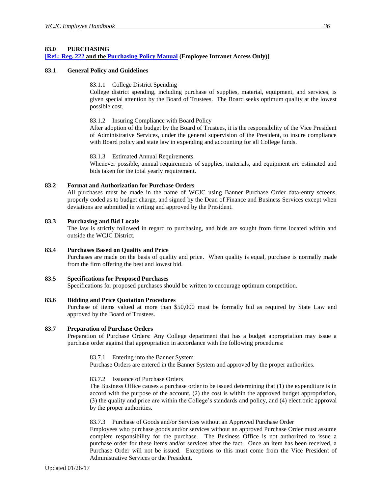#### <span id="page-44-0"></span>**83.0 PURCHASING**

#### <span id="page-44-1"></span>**[\[Ref.: Reg. 222](http://www.wcjc.edu/About-Us/documents/regs/REG222.pdf) and the [Purchasing Policy Manual](http://www3/intranet/Policies%20&%20Regulations/Handbooks/Purchasing%20Handbook/documents/PURCHASING%20HANDBOOK%20Jan%2018b_Bunny_v.3.doc) [\(Employee Intranet Access Only\)\]](http://www3.wcjc.edu/forms/PURCHASING%20HANDBOOK%20Jan%2018b_Bunny_v.3.doc)**

#### <span id="page-44-3"></span><span id="page-44-2"></span>**83.1 General Policy and Guidelines**

#### 83.1.1 College District Spending

College district spending, including purchase of supplies, material, equipment, and services, is given special attention by the Board of Trustees. The Board seeks optimum quality at the lowest possible cost.

#### <span id="page-44-4"></span>83.1.2 Insuring Compliance with Board Policy

After adoption of the budget by the Board of Trustees, it is the responsibility of the Vice President of Administrative Services, under the general supervision of the President, to insure compliance with Board policy and state law in expending and accounting for all College funds.

#### 83.1.3 Estimated Annual Requirements

Whenever possible, annual requirements of supplies, materials, and equipment are estimated and bids taken for the total yearly requirement.

#### <span id="page-44-6"></span><span id="page-44-5"></span>**83.2 Format and Authorization for Purchase Orders**

All purchases must be made in the name of WCJC using Banner Purchase Order data-entry screens, properly coded as to budget charge, and signed by the Dean of Finance and Business Services except when deviations are submitted in writing and approved by the President.

#### <span id="page-44-7"></span>**83.3 Purchasing and Bid Locale**

The law is strictly followed in regard to purchasing, and bids are sought from firms located within and outside the WCJC District.

#### <span id="page-44-8"></span>**83.4 Purchases Based on Quality and Price**

Purchases are made on the basis of quality and price. When quality is equal, purchase is normally made from the firm offering the best and lowest bid.

#### <span id="page-44-9"></span>**83.5 Specifications for Proposed Purchases**

Specifications for proposed purchases should be written to encourage optimum competition.

#### <span id="page-44-10"></span>**83.6 Bidding and Price Quotation Procedures**

Purchase of items valued at more than \$50,000 must be formally bid as required by State Law and approved by the Board of Trustees.

#### <span id="page-44-12"></span><span id="page-44-11"></span>**83.7 Preparation of Purchase Orders**

Preparation of Purchase Orders: Any College department that has a budget appropriation may issue a purchase order against that appropriation in accordance with the following procedures:

#### 83.7.1 Entering into the Banner System

Purchase Orders are entered in the Banner System and approved by the proper authorities.

#### <span id="page-44-13"></span>83.7.2 Issuance of Purchase Orders

The Business Office causes a purchase order to be issued determining that (1) the expenditure is in accord with the purpose of the account, (2) the cost is within the approved budget appropriation, (3) the quality and price are within the College's standards and policy, and (4) electronic approval by the proper authorities.

#### <span id="page-44-14"></span>83.7.3 Purchase of Goods and/or Services without an Approved Purchase Order

Employees who purchase goods and/or services without an approved Purchase Order must assume complete responsibility for the purchase. The Business Office is not authorized to issue a purchase order for these items and/or services after the fact. Once an item has been received, a Purchase Order will not be issued. Exceptions to this must come from the Vice President of Administrative Services or the President.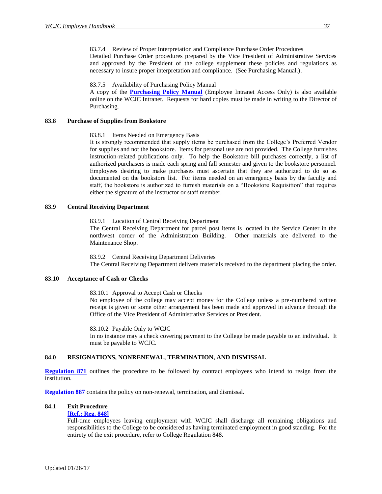#### <span id="page-45-0"></span>83.7.4 Review of Proper Interpretation and Compliance Purchase Order Procedures

Detailed Purchase Order procedures prepared by the Vice President of Administrative Services and approved by the President of the college supplement these policies and regulations as necessary to insure proper interpretation and compliance. (See Purchasing Manual.).

#### 83.7.5 Availability of Purchasing Policy Manual

A copy of the **[Purchasing Policy Manual](http://www3/intranet/Policies%20&%20Regulations/Handbooks/Purchasing%20Handbook/documents/Purchasing%20Manual.doc)** (Employee Intranet Access Only) is also available online on the WCJC Intranet. Requests for hard copies must be made in writing to the Director of Purchasing.

#### <span id="page-45-3"></span><span id="page-45-2"></span><span id="page-45-1"></span>**83.8 Purchase of Supplies from Bookstore**

#### 83.8.1 Items Needed on Emergency Basis

It is strongly recommended that supply items be purchased from the College's Preferred Vendor for supplies and not the bookstore. Items for personal use are not provided. The College furnishes instruction-related publications only. To help the Bookstore bill purchases correctly, a list of authorized purchasers is made each spring and fall semester and given to the bookstore personnel. Employees desiring to make purchases must ascertain that they are authorized to do so as documented on the bookstore list. For items needed on an emergency basis by the faculty and staff, the bookstore is authorized to furnish materials on a "Bookstore Requisition" that requires either the signature of the instructor or staff member.

#### <span id="page-45-5"></span><span id="page-45-4"></span>**83.9 Central Receiving Department**

#### 83.9.1 Location of Central Receiving Department

The Central Receiving Department for parcel post items is located in the Service Center in the northwest corner of the Administration Building. Other materials are delivered to the Maintenance Shop.

83.9.2 Central Receiving Department Deliveries

The Central Receiving Department delivers materials received to the department placing the order.

#### <span id="page-45-8"></span><span id="page-45-7"></span><span id="page-45-6"></span>**83.10 Acceptance of Cash or Checks**

83.10.1 Approval to Accept Cash or Checks

No employee of the college may accept money for the College unless a pre-numbered written receipt is given or some other arrangement has been made and approved in advance through the Office of the Vice President of Administrative Services or President.

83.10.2 Payable Only to WCJC In no instance may a check covering payment to the College be made payable to an individual. It must be payable to WCJC.

#### <span id="page-45-10"></span><span id="page-45-9"></span>**84.0 RESIGNATIONS, NONRENEWAL, TERMINATION, AND DISMISSAL**

**[Regulation 871](http://www.wcjc.edu/About-Us/documents/regs/REG871.pdf)** outlines the procedure to be followed by contract employees who intend to resign from the institution.

**[Regulation 887](http://www.wcjc.edu/About-Us/documents/regs/Reg-887-Nonrenewal-Termination-and-Dismissal-FINAL-PER-BOARD-APPROVAL-11-16-10.pdf)** contains the policy on non-renewal, termination, and dismissal.

#### <span id="page-45-12"></span><span id="page-45-11"></span>**84.1 Exit Procedure**

#### **[\[Ref.: Reg. 848\]](http://www.wcjc.edu/About-Us/documents/regs/REG848.pdf)**

Full-time employees leaving employment with WCJC shall discharge all remaining obligations and responsibilities to the College to be considered as having terminated employment in good standing. For the entirety of the exit procedure, refer to College Regulation 848.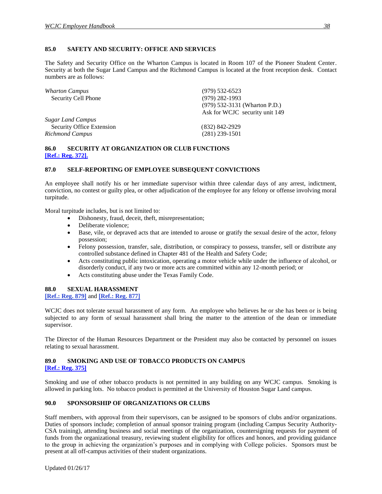#### <span id="page-46-0"></span>**85.0 SAFETY AND SECURITY: OFFICE AND SERVICES**

The Safety and Security Office on the Wharton Campus is located in Room 107 of the Pioneer Student Center. Security at both the Sugar Land Campus and the Richmond Campus is located at the front reception desk. Contact numbers are as follows:

| <b>Wharton Campus</b>     | $(979)$ 532-6523                |
|---------------------------|---------------------------------|
| Security Cell Phone       | $(979)$ 282-1993                |
|                           | $(979)$ 532-3131 (Wharton P.D.) |
|                           | Ask for WCJC security unit 149  |
| <b>Sugar Land Campus</b>  |                                 |
| Security Office Extension | $(832)$ 842-2929                |
| <b>Richmond Campus</b>    | $(281)$ 239-1501                |
|                           |                                 |

#### <span id="page-46-1"></span>**86.0 SECURITY AT ORGANIZATION OR CLUB FUNCTIONS [\[Ref.: Reg. 372\].](http://www.wcjc.edu/About-Us/documents/regs/REG372.pdf)**

#### <span id="page-46-2"></span>**87.0 SELF-REPORTING OF EMPLOYEE SUBSEQUENT CONVICTIONS**

An employee shall notify his or her immediate supervisor within three calendar days of any arrest, indictment, conviction, no contest or guilty plea, or other adjudication of the employee for any felony or offense involving moral turpitude.

Moral turpitude includes, but is not limited to:

- Dishonesty, fraud, deceit, theft, misrepresentation;
- Deliberate violence;
- Base, vile, or depraved acts that are intended to arouse or gratify the sexual desire of the actor, felony possession;
- Felony possession, transfer, sale, distribution, or conspiracy to possess, transfer, sell or distribute any controlled substance defined in Chapter 481 of the Health and Safety Code;
- Acts constituting public intoxication, operating a motor vehicle while under the influence of alcohol, or disorderly conduct, if any two or more acts are committed within any 12-month period; or
- Acts constituting abuse under the Texas Family Code.

#### <span id="page-46-3"></span>**88.0 SEXUAL HARASSMENT**

#### <span id="page-46-4"></span>**[\[Ref.: Reg. 879\]](http://www.wcjc.edu/About-Us/documents/regs/REG879.pdf)** and **[\[Ref.: Reg. 877\]](http://www.wcjc.edu/About-Us/documents/regs/Reg-877-Employee-Grievances-and-Complaints-FINAL-PER-BOARD-APPROVAL-1-18-11.pdf)**

WCJC does not tolerate sexual harassment of any form. An employee who believes he or she has been or is being subjected to any form of sexual harassment shall bring the matter to the attention of the dean or immediate supervisor.

The Director of the Human Resources Department or the President may also be contacted by personnel on issues relating to sexual harassment.

#### <span id="page-46-6"></span><span id="page-46-5"></span>**89.0 SMOKING AND USE OF TOBACCO PRODUCTS ON CAMPUS [\[Ref.: Reg. 375\]](http://www.wcjc.edu/About-Us/documents/regs/Reg375.pdf)**

Smoking and use of other tobacco products is not permitted in any building on any WCJC campus. Smoking is allowed in parking lots. No tobacco product is permitted at the University of Houston Sugar Land campus.

#### <span id="page-46-7"></span>**90.0 SPONSORSHIP OF ORGANIZATIONS OR CLUBS**

Staff members, with approval from their supervisors, can be assigned to be sponsors of clubs and/or organizations. Duties of sponsors include; completion of annual sponsor training program (including Campus Security Authority-CSA training), attending business and social meetings of the organization, countersigning requests for payment of funds from the organizational treasury, reviewing student eligibility for offices and honors, and providing guidance to the group in achieving the organization's purposes and in complying with College policies. Sponsors must be present at all off-campus activities of their student organizations.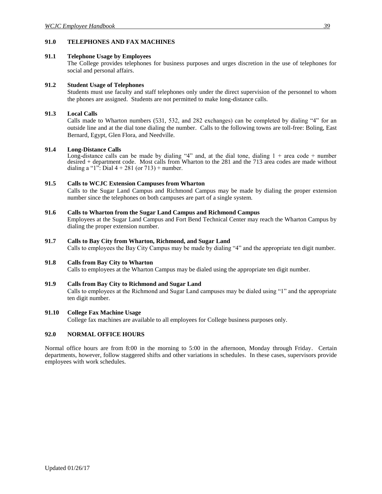#### <span id="page-47-0"></span>**91.0 TELEPHONES AND FAX MACHINES**

#### <span id="page-47-1"></span>**91.1 Telephone Usage by Employees**

The College provides telephones for business purposes and urges discretion in the use of telephones for social and personal affairs.

#### <span id="page-47-2"></span>**91.2 Student Usage of Telephones**

Students must use faculty and staff telephones only under the direct supervision of the personnel to whom the phones are assigned. Students are not permitted to make long-distance calls.

#### <span id="page-47-3"></span>**91.3 Local Calls**

Calls made to Wharton numbers (531, 532, and 282 exchanges) can be completed by dialing "4" for an outside line and at the dial tone dialing the number. Calls to the following towns are toll-free: Boling, East Bernard, Egypt, Glen Flora, and Needville.

#### <span id="page-47-4"></span>**91.4 Long-Distance Calls**

Long-distance calls can be made by dialing "4" and, at the dial tone, dialing  $1 +$  area code + number desired + department code. Most calls from Wharton to the 281 and the 713 area codes are made without dialing a "1": Dial  $4 + 281$  (or  $713$ ) + number.

#### <span id="page-47-5"></span>**91.5 Calls to WCJC Extension Campuses from Wharton**

Calls to the Sugar Land Campus and Richmond Campus may be made by dialing the proper extension number since the telephones on both campuses are part of a single system.

#### <span id="page-47-6"></span>**91.6 Calls to Wharton from the Sugar Land Campus and Richmond Campus**

Employees at the Sugar Land Campus and Fort Bend Technical Center may reach the Wharton Campus by dialing the proper extension number.

#### <span id="page-47-7"></span>**91.7 Calls to Bay City from Wharton, Richmond, and Sugar Land**

Calls to employees the Bay City Campus may be made by dialing "4" and the appropriate ten digit number.

#### <span id="page-47-8"></span>**91.8 Calls from Bay City to Wharton**

Calls to employees at the Wharton Campus may be dialed using the appropriate ten digit number.

#### <span id="page-47-9"></span>**91.9 Calls from Bay City to Richmond and Sugar Land**

Calls to employees at the Richmond and Sugar Land campuses may be dialed using "1" and the appropriate ten digit number.

#### <span id="page-47-10"></span>**91.10 College Fax Machine Usage**

College fax machines are available to all employees for College business purposes only.

#### <span id="page-47-11"></span>**92.0 NORMAL OFFICE HOURS**

Normal office hours are from 8:00 in the morning to 5:00 in the afternoon, Monday through Friday. Certain departments, however, follow staggered shifts and other variations in schedules. In these cases, supervisors provide employees with work schedules.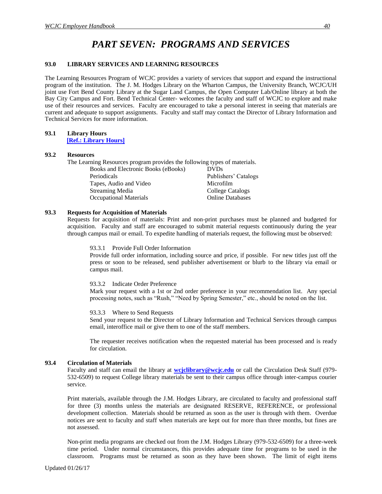## *PART SEVEN: PROGRAMS AND SERVICES*

#### <span id="page-48-1"></span><span id="page-48-0"></span>**93.0 LIBRARY SERVICES AND LEARNING RESOURCES**

The Learning Resources Program of WCJC provides a variety of services that support and expand the instructional program of the institution. The J. M. Hodges Library on the Wharton Campus, the University Branch, WCJC/UH joint use Fort Bend County Library at the Sugar Land Campus, the Open Computer Lab/Online library at both the Bay City Campus and Fort. Bend Technical Center- welcomes the faculty and staff of WCJC to explore and make use of their resources and services. Faculty are encouraged to take a personal interest in seeing that materials are current and adequate to support assignments. Faculty and staff may contact the Director of Library Information and Technical Services for more information.

#### <span id="page-48-2"></span>**93.1 Library Hours [\[Ref.: Library Hours\]](http://www.wcjc.edu/Students/Library/Library-Information/open-computer-labs.aspx)**

#### <span id="page-48-3"></span>**93.2 Resources**

The Learning Resources program provides the following types of materials.

Books and Electronic Books (eBooks) DVDs Periodicals Publishers' Catalogs Tapes, Audio and Video Microfilm Streaming Media College Catalogs Occupational Materials **Online Databases** 

#### <span id="page-48-5"></span><span id="page-48-4"></span>**93.3 Requests for Acquisition of Materials**

Requests for acquisition of materials: Print and non-print purchases must be planned and budgeted for acquisition. Faculty and staff are encouraged to submit material requests continuously during the year through campus mail or email. To expedite handling of materials request, the following must be observed:

#### 93.3.1 Provide Full Order Information

Provide full order information, including source and price, if possible. For new titles just off the press or soon to be released, send publisher advertisement or blurb to the library via email or campus mail.

#### <span id="page-48-6"></span>93.3.2 Indicate Order Preference

Mark your request with a 1st or 2nd order preference in your recommendation list. Any special processing notes, such as "Rush," "Need by Spring Semester," etc., should be noted on the list.

#### <span id="page-48-7"></span>93.3.3 Where to Send Requests

Send your request to the Director of Library Information and Technical Services through campus email, interoffice mail or give them to one of the staff members.

The requester receives notification when the requested material has been processed and is ready for circulation.

#### <span id="page-48-8"></span>**93.4 Circulation of Materials**

Faculty and staff can email the library at **wejclibrary@wcjc.edu** or call the Circulation Desk Staff (979-532-6509) to request College library materials be sent to their campus office through inter-campus courier service.

Print materials, available through the J.M. Hodges Library, are circulated to faculty and professional staff for three (3) months unless the materials are designated RESERVE, REFERENCE, or professional development collection. Materials should be returned as soon as the user is through with them. Overdue notices are sent to faculty and staff when materials are kept out for more than three months, but fines are not assessed.

Non-print media programs are checked out from the J.M. Hodges Library (979-532-6509) for a three-week time period. Under normal circumstances, this provides adequate time for programs to be used in the classroom. Programs must be returned as soon as they have been shown. The limit of eight items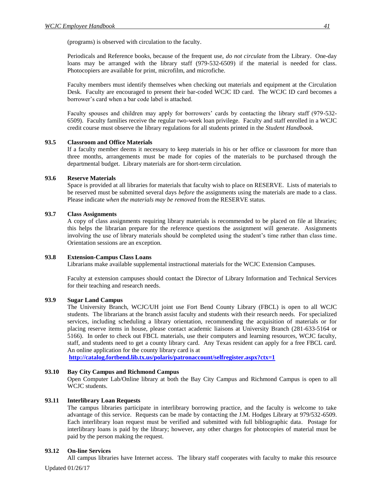(programs) is observed with circulation to the faculty.

Periodicals and Reference books, because of the frequent use, *do not circulate* from the Library. One-day loans may be arranged with the library staff (979-532-6509) if the material is needed for class. Photocopiers are available for print, microfilm, and microfiche.

Faculty members must identify themselves when checking out materials and equipment at the Circulation Desk. Faculty are encouraged to present their bar-coded WCJC ID card. The WCJC ID card becomes a borrower's card when a bar code label is attached.

Faculty spouses and children may apply for borrowers' cards by contacting the library staff (979-532- 6509). Faculty families receive the regular two-week loan privilege. Faculty and staff enrolled in a WCJC credit course must observe the library regulations for all students printed in the *Student Handbook.*

#### <span id="page-49-0"></span>**93.5 Classroom and Office Materials**

If a faculty member deems it necessary to keep materials in his or her office or classroom for more than three months, arrangements must be made for copies of the materials to be purchased through the departmental budget. Library materials are for short-term circulation.

#### <span id="page-49-1"></span>**93.6 Reserve Materials**

Space is provided at all libraries for materials that faculty wish to place on RESERVE. Lists of materials to be reserved must be submitted several days *before* the assignments using the materials are made to a class. Please indicate *when the materials may be removed* from the RESERVE status.

#### <span id="page-49-2"></span>**93.7 Class Assignments**

A copy of class assignments requiring library materials is recommended to be placed on file at libraries; this helps the librarian prepare for the reference questions the assignment will generate. Assignments involving the use of library materials should be completed using the student's time rather than class time. Orientation sessions are an exception.

#### <span id="page-49-3"></span>**93.8 Extension-Campus Class Loans**

Librarians make available supplemental instructional materials for the WCJC Extension Campuses.

Faculty at extension campuses should contact the Director of Library Information and Technical Services for their teaching and research needs.

#### <span id="page-49-4"></span>**93.9 Sugar Land Campus**

The University Branch, WCJC/UH joint use Fort Bend County Library (FBCL) is open to all WCJC students. The librarians at the branch assist faculty and students with their research needs. For specialized services, including scheduling a library orientation, recommending the acquisition of materials or for placing reserve items in house, please contact academic liaisons at University Branch (281-633-5164 or 5166). In order to check out FBCL materials, use their computers and learning resources, WCJC faculty, staff, and students need to get a county library card. Any Texas resident can apply for a free FBCL card. An online application for the county library card is at

**<http://catalog.fortbend.lib.tx.us/polaris/patronaccount/selfregister.aspx?ctx=1>**

#### <span id="page-49-5"></span>**93.10 Bay City Campus and Richmond Campus**

Open Computer Lab/Online library at both the Bay City Campus and Richmond Campus is open to all WCJC students.

#### <span id="page-49-6"></span>**93.11 Interlibrary Loan Requests**

The campus libraries participate in interlibrary borrowing practice, and the faculty is welcome to take advantage of this service. Requests can be made by contacting the J.M. Hodges Library at 979/532-6509. Each interlibrary loan request must be verified and submitted with full bibliographic data. Postage for interlibrary loans is paid by the library; however, any other charges for photocopies of material must be paid by the person making the request.

#### <span id="page-49-7"></span>**93.12 On-line Services**

All campus libraries have Internet access. The library staff cooperates with faculty to make this resource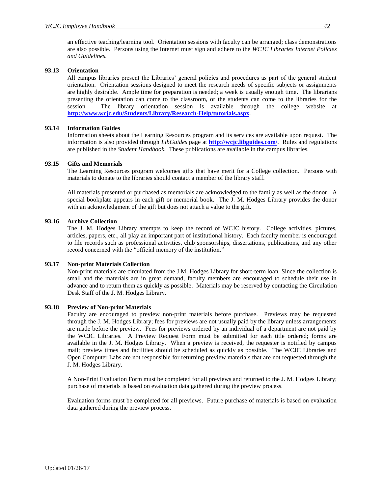an effective teaching/learning tool. Orientation sessions with faculty can be arranged; class demonstrations are also possible. Persons using the Internet must sign and adhere to the *WCJC Libraries Internet Policies and Guidelines.*

#### <span id="page-50-0"></span>**93.13 Orientation**

All campus libraries present the Libraries' general policies and procedures as part of the general student orientation. Orientation sessions designed to meet the research needs of specific subjects or assignments are highly desirable. Ample time for preparation is needed; a week is usually enough time. The librarians presenting the orientation can come to the classroom, or the students can come to the libraries for the session. The library orientation session is available through the college website at **<http://www.wcjc.edu/Students/Library/Research-Help/tutorials.aspx>**.

#### <span id="page-50-1"></span>**93.14 Information Guides**

Information sheets about the Learning Resources program and its services are available upon request. The information is also provided through *LibGuides* page at **<http://wcjc.libguides.com/>**. Rules and regulations are published in the *Student Handbook.* These publications are available in the campus libraries.

#### <span id="page-50-2"></span>**93.15 Gifts and Memorials**

The Learning Resources program welcomes gifts that have merit for a College collection. Persons with materials to donate to the libraries should contact a member of the library staff.

All materials presented or purchased as memorials are acknowledged to the family as well as the donor. A special bookplate appears in each gift or memorial book. The J. M. Hodges Library provides the donor with an acknowledgment of the gift but does not attach a value to the gift.

#### <span id="page-50-3"></span>**93.16 Archive Collection**

The J. M. Hodges Library attempts to keep the record of WCJC history. College activities, pictures, articles, papers, etc., all play an important part of institutional history. Each faculty member is encouraged to file records such as professional activities, club sponsorships, dissertations, publications, and any other record concerned with the "official memory of the institution."

#### <span id="page-50-4"></span>**93.17 Non-print Materials Collection**

Non-print materials are circulated from the J.M. Hodges Library for short-term loan. Since the collection is small and the materials are in great demand, faculty members are encouraged to schedule their use in advance and to return them as quickly as possible. Materials may be reserved by contacting the Circulation Desk Staff of the J. M. Hodges Library.

#### <span id="page-50-5"></span>**93.18 Preview of Non-print Materials**

Faculty are encouraged to preview non-print materials before purchase. Previews may be requested through the J. M. Hodges Library; fees for previews are not usually paid by the library unless arrangements are made before the preview. Fees for previews ordered by an individual of a department are not paid by the WCJC Libraries. A Preview Request Form must be submitted for each title ordered; forms are available in the J. M. Hodges Library. When a preview is received, the requester is notified by campus mail; preview times and facilities should be scheduled as quickly as possible. The WCJC Libraries and Open Computer Labs are not responsible for returning preview materials that are not requested through the J. M. Hodges Library.

A Non-Print Evaluation Form must be completed for all previews and returned to the J. M. Hodges Library; purchase of materials is based on evaluation data gathered during the preview process.

Evaluation forms must be completed for all previews. Future purchase of materials is based on evaluation data gathered during the preview process.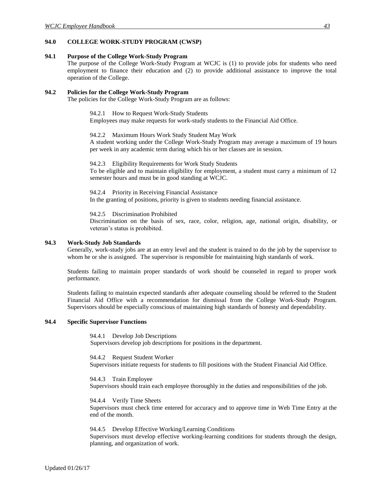#### <span id="page-51-0"></span>**94.0 COLLEGE WORK-STUDY PROGRAM (CWSP)**

#### <span id="page-51-1"></span>**94.1 Purpose of the College Work-Study Program**

The purpose of the College Work-Study Program at WCJC is (1) to provide jobs for students who need employment to finance their education and (2) to provide additional assistance to improve the total operation of the College.

#### <span id="page-51-4"></span><span id="page-51-3"></span><span id="page-51-2"></span>**94.2 Policies for the College Work-Study Program**

The policies for the College Work-Study Program are as follows:

94.2.1 How to Request Work-Study Students

Employees may make requests for work-study students to the Financial Aid Office.

94.2.2 Maximum Hours Work Study Student May Work

A student working under the College Work-Study Program may average a maximum of 19 hours per week in any academic term during which his or her classes are in session.

<span id="page-51-5"></span>94.2.3 Eligibility Requirements for Work Study Students

To be eligible and to maintain eligibility for employment, a student must carry a minimum of 12 semester hours and must be in good standing at WCJC.

<span id="page-51-6"></span>94.2.4 Priority in Receiving Financial Assistance In the granting of positions, priority is given to students needing financial assistance.

94.2.5 Discrimination Prohibited

Discrimination on the basis of sex, race, color, religion, age, national origin, disability, or veteran's status is prohibited*.*

#### <span id="page-51-8"></span><span id="page-51-7"></span>**94.3 Work-Study Job Standards**

Generally, work-study jobs are at an entry level and the student is trained to do the job by the supervisor to whom he or she is assigned. The supervisor is responsible for maintaining high standards of work.

Students failing to maintain proper standards of work should be counseled in regard to proper work performance.

Students failing to maintain expected standards after adequate counseling should be referred to the Student Financial Aid Office with a recommendation for dismissal from the College Work-Study Program. Supervisors should be especially conscious of maintaining high standards of honesty and dependability.

#### <span id="page-51-11"></span><span id="page-51-10"></span><span id="page-51-9"></span>**94.4 Specific Supervisor Functions**

94.4.1 Develop Job Descriptions Supervisors develop job descriptions for positions in the department.

94.4.2 Request Student Worker Supervisors initiate requests for students to fill positions with the Student Financial Aid Office.

<span id="page-51-12"></span>94.4.3 Train Employee Supervisors should train each employee thoroughly in the duties and responsibilities of the job.

<span id="page-51-13"></span>94.4.4 Verify Time Sheets Supervisors must check time entered for accuracy and to approve time in Web Time Entry at the end of the month.

<span id="page-51-14"></span>94.4.5 Develop Effective Working/Learning Conditions Supervisors must develop effective working-learning conditions for students through the design, planning, and organization of work.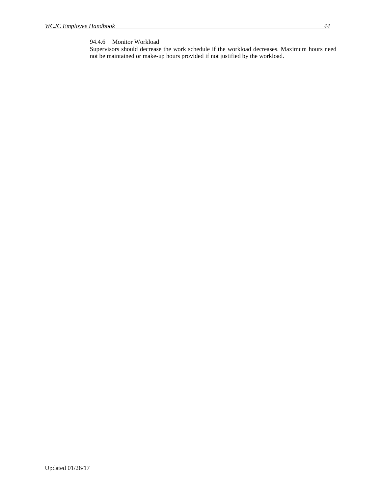#### <span id="page-52-0"></span>94.4.6 Monitor Workload

Supervisors should decrease the work schedule if the workload decreases. Maximum hours need not be maintained or make-up hours provided if not justified by the workload.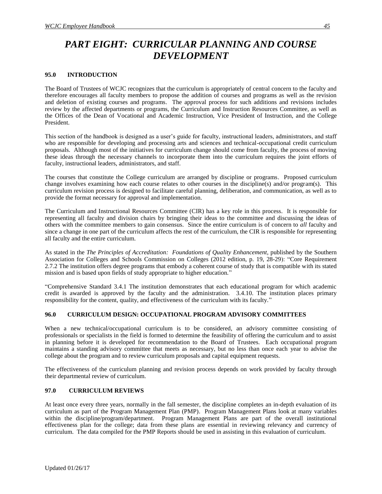## <span id="page-53-0"></span>*PART EIGHT: CURRICULAR PLANNING AND COURSE DEVELOPMENT*

#### <span id="page-53-1"></span>**95.0 INTRODUCTION**

The Board of Trustees of WCJC recognizes that the curriculum is appropriately of central concern to the faculty and therefore encourages all faculty members to propose the addition of courses and programs as well as the revision and deletion of existing courses and programs. The approval process for such additions and revisions includes review by the affected departments or programs, the Curriculum and Instruction Resources Committee, as well as the Offices of the Dean of Vocational and Academic Instruction, Vice President of Instruction, and the College President.

This section of the handbook is designed as a user's guide for faculty, instructional leaders, administrators, and staff who are responsible for developing and processing arts and sciences and technical-occupational credit curriculum proposals. Although most of the initiatives for curriculum change should come from faculty, the process of moving these ideas through the necessary channels to incorporate them into the curriculum requires the joint efforts of faculty, instructional leaders, administrators, and staff.

The courses that constitute the College curriculum are arranged by discipline or programs. Proposed curriculum change involves examining how each course relates to other courses in the discipline(s) and/or program(s). This curriculum revision process is designed to facilitate careful planning, deliberation, and communication, as well as to provide the format necessary for approval and implementation.

The Curriculum and Instructional Resources Committee (CIR) has a key role in this process. It is responsible for representing all faculty and division chairs by bringing their ideas to the committee and discussing the ideas of others with the committee members to gain consensus. Since the entire curriculum is of concern to *all* faculty and since a change in one part of the curriculum affects the rest of the curriculum, the CIR is responsible for representing all faculty and the entire curriculum.

As stated in the *The Principles of Accreditation: Foundations of Quality Enhancement,* published by the Southern Association for Colleges and Schools Commission on Colleges (2012 edition, p. 19, 28-29): "Core Requirement 2.7.2 The institution offers degree programs that embody a coherent course of study that is compatible with its stated mission and is based upon fields of study appropriate to higher education."

"Comprehensive Standard 3.4.1 The institution demonstrates that each educational program for which academic credit is awarded is approved by the faculty and the administration. 3.4.10. The institution places primary responsibility for the content, quality, and effectiveness of the curriculum with its faculty."

#### <span id="page-53-2"></span>**96.0 CURRICULUM DESIGN: OCCUPATIONAL PROGRAM ADVISORY COMMITTEES**

When a new technical/occupational curriculum is to be considered, an advisory committee consisting of professionals or specialists in the field is formed to determine the feasibility of offering the curriculum and to assist in planning before it is developed for recommendation to the Board of Trustees. Each occupational program maintains a standing advisory committee that meets as necessary, but no less than once each year to advise the college about the program and to review curriculum proposals and capital equipment requests.

The effectiveness of the curriculum planning and revision process depends on work provided by faculty through their departmental review of curriculum.

#### <span id="page-53-3"></span>**97.0 CURRICULUM REVIEWS**

At least once every three years, normally in the fall semester, the discipline completes an in-depth evaluation of its curriculum as part of the Program Management Plan (PMP). Program Management Plans look at many variables within the discipline/program/department. Program Management Plans are part of the overall institutional effectiveness plan for the college; data from these plans are essential in reviewing relevancy and currency of curriculum. The data compiled for the PMP Reports should be used in assisting in this evaluation of curriculum.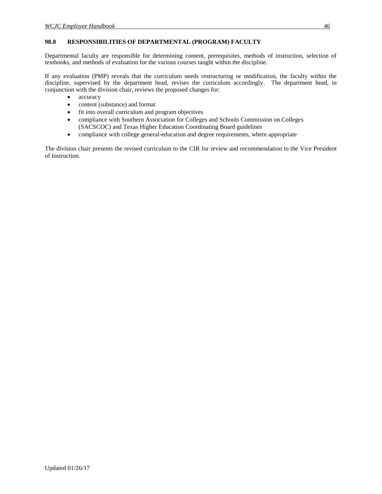#### <span id="page-54-0"></span>**98.0 RESPONSIBILITIES OF DEPARTMENTAL (PROGRAM) FACULTY**

Departmental faculty are responsible for determining content, prerequisites, methods of instruction, selection of textbooks, and methods of evaluation for the various courses taught within the discipline.

If any evaluation (PMP) reveals that the curriculum needs restructuring or modification, the faculty within the discipline, supervised by the department head, revises the curriculum accordingly. The department head, in conjunction with the division chair, reviews the proposed changes for:

- accuracy
- content (substance) and format
- fit into overall curriculum and program objectives
- compliance with Southern Association for Colleges and Schools Commission on Colleges (SACSCOC) and Texas Higher Education Coordinating Board guidelines
- compliance with college general-education and degree requirements, where appropriate

The division chair presents the revised curriculum to the CIR for review and recommendation to the Vice President of Instruction.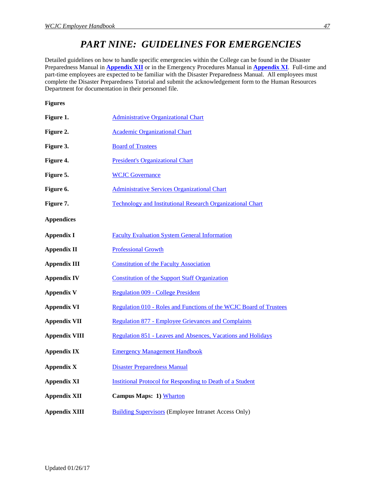## *PART NINE: GUIDELINES FOR EMERGENCIES*

<span id="page-55-0"></span>Detailed guidelines on how to handle specific emergencies within the College can be found in the Disaster Preparedness Manual in **[Appendix XII](http://www.wcjc.edu/About-Us/administration/offices/human-resourses/documents/Disaster-Preparedness-Manual.pdf)** or in the Emergency Procedures Manual in **[Appendix XI](http://www.wcjc.edu/About-Us/administration/offices/human-resourses/documents/Appendix-XI-EMERGENCY-MANAGEMENT-HANDBOOK-with-hyperlinks.pdf)**. Full-time and part-time employees are expected to be familiar with the Disaster Preparedness Manual. All employees must complete the Disaster Preparedness Tutorial and submit the acknowledgement form to the Human Resources Department for documentation in their personnel file.

<span id="page-55-1"></span>**Figures** 

<span id="page-55-22"></span><span id="page-55-21"></span><span id="page-55-20"></span><span id="page-55-19"></span><span id="page-55-18"></span><span id="page-55-17"></span><span id="page-55-16"></span><span id="page-55-15"></span><span id="page-55-14"></span><span id="page-55-13"></span><span id="page-55-12"></span><span id="page-55-11"></span><span id="page-55-10"></span><span id="page-55-9"></span><span id="page-55-8"></span><span id="page-55-7"></span><span id="page-55-6"></span><span id="page-55-5"></span><span id="page-55-4"></span><span id="page-55-3"></span><span id="page-55-2"></span>

| Figure 1.            | <b>Administrative Organizational Chart</b>                         |
|----------------------|--------------------------------------------------------------------|
| Figure 2.            | <b>Academic Organizational Chart</b>                               |
| Figure 3.            | <b>Board of Trustees</b>                                           |
| Figure 4.            | <b>President's Organizational Chart</b>                            |
| Figure 5.            | <b>WCJC</b> Governance                                             |
| Figure 6.            | <b>Administrative Services Organizational Chart</b>                |
| Figure 7.            | <b>Technology and Institutional Research Organizational Chart</b>  |
| <b>Appendices</b>    |                                                                    |
| <b>Appendix I</b>    | <b>Faculty Evaluation System General Information</b>               |
| <b>Appendix II</b>   | <b>Professional Growth</b>                                         |
| <b>Appendix III</b>  | <b>Constitution of the Faculty Association</b>                     |
| <b>Appendix IV</b>   | <b>Constitution of the Support Staff Organization</b>              |
| <b>Appendix V</b>    | <b>Regulation 009 - College President</b>                          |
| <b>Appendix VI</b>   | Regulation 010 - Roles and Functions of the WCJC Board of Trustees |
| <b>Appendix VII</b>  | <b>Regulation 877 - Employee Grievances and Complaints</b>         |
| <b>Appendix VIII</b> | Regulation 851 - Leaves and Absences, Vacations and Holidays       |
| <b>Appendix IX</b>   | <b>Emergency Management Handbook</b>                               |
| <b>Appendix X</b>    | <b>Disaster Preparedness Manual</b>                                |
| <b>Appendix XI</b>   | <b>Institional Protocol for Responding to Death of a Student</b>   |
| <b>Appendix XII</b>  | Campus Maps: 1) Wharton                                            |
| <b>Appendix XIII</b> | <b>Building Supervisors (Employee Intranet Access Only)</b>        |